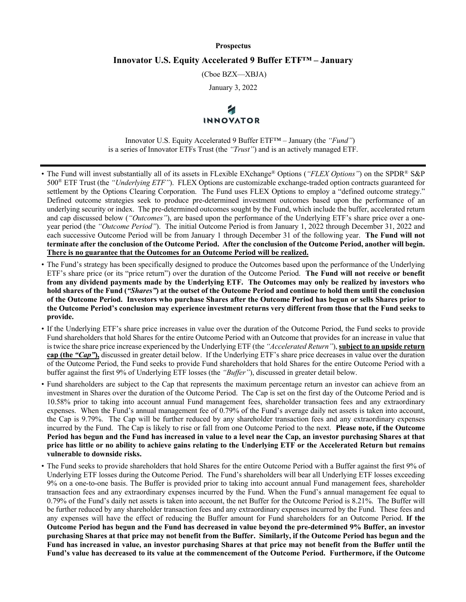#### **Prospectus**

#### **Innovator U.S. Equity Accelerated 9 Buffer ETF™ – January**

(Cboe BZX—XBJA)

January 3, 2022

# **INNOVATOR**

Innovator U.S. Equity Accelerated 9 Buffer ETF™ – January (the *"Fund"*) is a series of Innovator ETFs Trust (the *"Trust"*) and is an actively managed ETF.

- The Fund will invest substantially all of its assets in FLexible EXchange® Options (*"FLEX Options"*) on the SPDR® S&P 500® ETF Trust (the *"Underlying ETF"*). FLEX Options are customizable exchange-traded option contracts guaranteed for settlement by the Options Clearing Corporation. The Fund uses FLEX Options to employ a "defined outcome strategy." Defined outcome strategies seek to produce pre-determined investment outcomes based upon the performance of an underlying security or index. The pre-determined outcomes sought by the Fund, which include the buffer, accelerated return and cap discussed below (*"Outcomes"*), are based upon the performance of the Underlying ETF's share price over a oneyear period (the *"Outcome Period"*). The initial Outcome Period is from January 1, 2022 through December 31, 2022 and each successive Outcome Period will be from January 1 through December 31 of the following year. **The Fund will not terminate after the conclusion of the Outcome Period. After the conclusion of the Outcome Period, another will begin. There is no guarantee that the Outcomes for an Outcome Period will be realized.**
- The Fund's strategy has been specifically designed to produce the Outcomes based upon the performance of the Underlying ETF's share price (or its "price return") over the duration of the Outcome Period. **The Fund will not receive or benefit from any dividend payments made by the Underlying ETF. The Outcomes may only be realized by investors who hold shares of the Fund (***"Shares"***) at the outset of the Outcome Period and continue to hold them until the conclusion of the Outcome Period. Investors who purchase Shares after the Outcome Period has begun or sells Shares prior to the Outcome Period's conclusion may experience investment returns very different from those that the Fund seeks to provide.**
- If the Underlying ETF's share price increases in value over the duration of the Outcome Period, the Fund seeks to provide Fund shareholders that hold Shares for the entire Outcome Period with an Outcome that provides for an increase in value that is twice the share price increase experienced by the Underlying ETF (the *"Accelerated Return"*), **subject to an upside return cap (the** *"Cap"***),** discussed in greater detail below. If the Underlying ETF's share price decreases in value over the duration of the Outcome Period, the Fund seeks to provide Fund shareholders that hold Shares for the entire Outcome Period with a buffer against the first 9% of Underlying ETF losses (the *"Buffer"*), discussed in greater detail below.
- Fund shareholders are subject to the Cap that represents the maximum percentage return an investor can achieve from an investment in Shares over the duration of the Outcome Period. The Cap is set on the first day of the Outcome Period and is 10.58% prior to taking into account annual Fund management fees, shareholder transaction fees and any extraordinary expenses. When the Fund's annual management fee of 0.79% of the Fund's average daily net assets is taken into account, the Cap is 9.79%. The Cap will be further reduced by any shareholder transaction fees and any extraordinary expenses incurred by the Fund. The Cap is likely to rise or fall from one Outcome Period to the next. **Please note, if the Outcome Period has begun and the Fund has increased in value to a level near the Cap, an investor purchasing Shares at that price has little or no ability to achieve gains relating to the Underlying ETF or the Accelerated Return but remains vulnerable to downside risks.**
- The Fund seeks to provide shareholders that hold Shares for the entire Outcome Period with a Buffer against the first 9% of Underlying ETF losses during the Outcome Period. The Fund's shareholders will bear all Underlying ETF losses exceeding 9% on a one-to-one basis. The Buffer is provided prior to taking into account annual Fund management fees, shareholder transaction fees and any extraordinary expenses incurred by the Fund. When the Fund's annual management fee equal to 0.79% of the Fund's daily net assets is taken into account, the net Buffer for the Outcome Period is 8.21%. The Buffer will be further reduced by any shareholder transaction fees and any extraordinary expenses incurred by the Fund. These fees and any expenses will have the effect of reducing the Buffer amount for Fund shareholders for an Outcome Period. **If the Outcome Period has begun and the Fund has decreased in value beyond the pre-determined 9% Buffer, an investor purchasing Shares at that price may not benefit from the Buffer. Similarly, if the Outcome Period has begun and the Fund has increased in value, an investor purchasing Shares at that price may not benefit from the Buffer until the Fund's value has decreased to its value at the commencement of the Outcome Period. Furthermore, if the Outcome**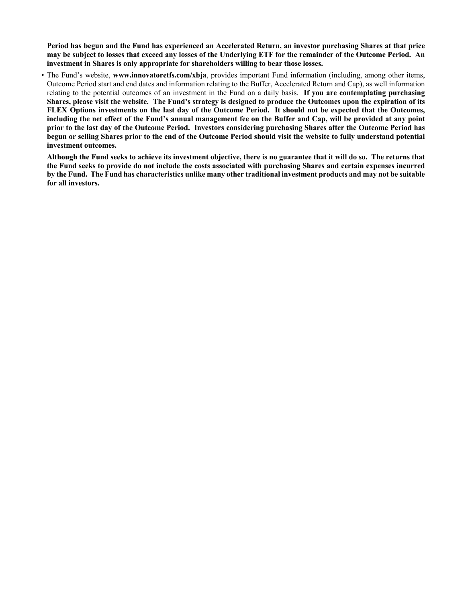**Period has begun and the Fund has experienced an Accelerated Return, an investor purchasing Shares at that price may be subject to losses that exceed any losses of the Underlying ETF for the remainder of the Outcome Period. An investment in Shares is only appropriate for shareholders willing to bear those losses.**

• The Fund's website, **www.innovatoretfs.com/xbja**, provides important Fund information (including, among other items, Outcome Period start and end dates and information relating to the Buffer, Accelerated Return and Cap), as well information relating to the potential outcomes of an investment in the Fund on a daily basis. **If you are contemplating purchasing Shares, please visit the website. The Fund's strategy is designed to produce the Outcomes upon the expiration of its FLEX Options investments on the last day of the Outcome Period. It should not be expected that the Outcomes, including the net effect of the Fund's annual management fee on the Buffer and Cap, will be provided at any point prior to the last day of the Outcome Period. Investors considering purchasing Shares after the Outcome Period has begun or selling Shares prior to the end of the Outcome Period should visit the website to fully understand potential investment outcomes.**

**Although the Fund seeks to achieve its investment objective, there is no guarantee that it will do so. The returns that the Fund seeks to provide do not include the costs associated with purchasing Shares and certain expenses incurred by the Fund. The Fund has characteristics unlike many other traditional investment products and may not be suitable for all investors.**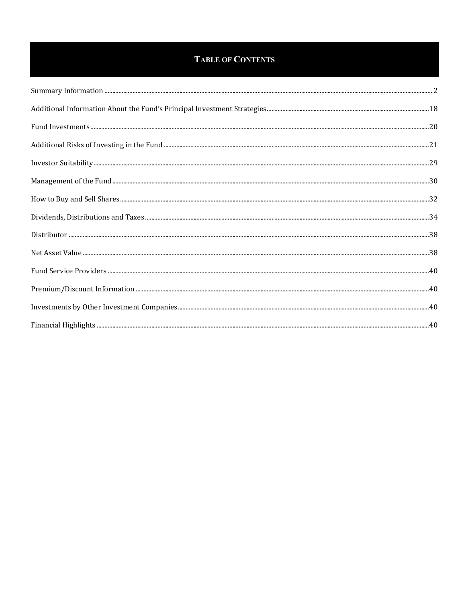#### **TABLE OF CONTENTS**

| $\textbf{Additional Risks of Investig in the Fund \textit{\textbf{}}}. \textbf{21}$ |  |
|-------------------------------------------------------------------------------------|--|
|                                                                                     |  |
|                                                                                     |  |
|                                                                                     |  |
|                                                                                     |  |
|                                                                                     |  |
|                                                                                     |  |
|                                                                                     |  |
|                                                                                     |  |
|                                                                                     |  |
|                                                                                     |  |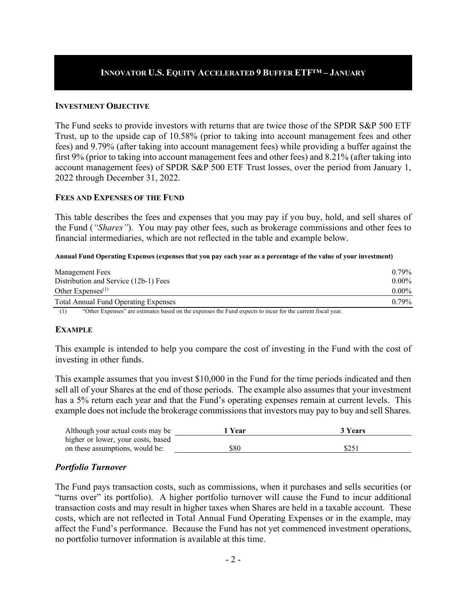#### **INNOVATOR U.S. EQUITY ACCELERATED 9 BUFFER ETF™ – JANUARY**

#### **INVESTMENT OBJECTIVE**

The Fund seeks to provide investors with returns that are twice those of the SPDR S&P 500 ETF Trust, up to the upside cap of 10.58% (prior to taking into account management fees and other fees) and 9.79% (after taking into account management fees) while providing a buffer against the first 9% (prior to taking into account management fees and other fees) and 8.21% (after taking into account management fees) of SPDR S&P 500 ETF Trust losses, over the period from January 1, 2022 through December 31, 2022.

#### **FEES AND EXPENSES OF THE FUND**

This table describes the fees and expenses that you may pay if you buy, hold, and sell shares of the Fund (*"Shares"*). You may pay other fees, such as brokerage commissions and other fees to financial intermediaries, which are not reflected in the table and example below.

#### **Annual Fund Operating Expenses (expenses that you pay each year as a percentage of the value of your investment)**

| Management Fees                                                                           | $0.79\%$ |  |  |  |
|-------------------------------------------------------------------------------------------|----------|--|--|--|
| Distribution and Service (12b-1) Fees                                                     |          |  |  |  |
| Other Expenses $(1)$                                                                      | $0.00\%$ |  |  |  |
| Total Annual Fund Operating Expenses                                                      | 0.79%    |  |  |  |
| (1)<br>$\sim$ $\sim$<br>$(0.01 \text{ F})$<br>$\mathbf{1}$ $\mathbf{1}$<br>$\cdot$ 1<br>. |          |  |  |  |

(1) "Other Expenses" are estimates based on the expenses the Fund expects to incur for the current fiscal year.

#### **EXAMPLE**

This example is intended to help you compare the cost of investing in the Fund with the cost of investing in other funds.

This example assumes that you invest \$10,000 in the Fund for the time periods indicated and then sell all of your Shares at the end of those periods. The example also assumes that your investment has a 5% return each year and that the Fund's operating expenses remain at current levels. This example does not include the brokerage commissions that investors may pay to buy and sell Shares.

| Although your actual costs may be  | 1 Year | 3 Years |
|------------------------------------|--------|---------|
| higher or lower, your costs, based |        |         |
| on these assumptions, would be:    | \$80   | \$251   |

#### *Portfolio Turnover*

The Fund pays transaction costs, such as commissions, when it purchases and sells securities (or "turns over" its portfolio). A higher portfolio turnover will cause the Fund to incur additional transaction costs and may result in higher taxes when Shares are held in a taxable account. These costs, which are not reflected in Total Annual Fund Operating Expenses or in the example, may affect the Fund's performance. Because the Fund has not yet commenced investment operations, no portfolio turnover information is available at this time.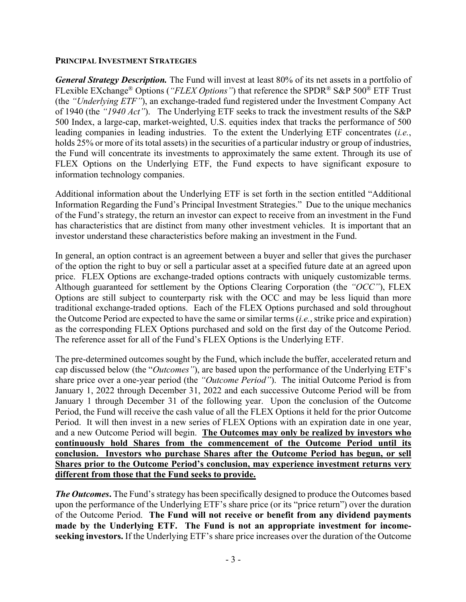#### **PRINCIPAL INVESTMENT STRATEGIES**

*General Strategy Description.* The Fund will invest at least 80% of its net assets in a portfolio of FLexible EXchange® Options (*"FLEX Options"*) that reference the SPDR® S&P 500® ETF Trust (the *"Underlying ETF"*), an exchange-traded fund registered under the Investment Company Act of 1940 (the *"1940 Act"*). The Underlying ETF seeks to track the investment results of the S&P 500 Index, a large-cap, market-weighted, U.S. equities index that tracks the performance of 500 leading companies in leading industries. To the extent the Underlying ETF concentrates (*i.e.*, holds 25% or more of its total assets) in the securities of a particular industry or group of industries, the Fund will concentrate its investments to approximately the same extent. Through its use of FLEX Options on the Underlying ETF, the Fund expects to have significant exposure to information technology companies.

Additional information about the Underlying ETF is set forth in the section entitled "Additional Information Regarding the Fund's Principal Investment Strategies." Due to the unique mechanics of the Fund's strategy, the return an investor can expect to receive from an investment in the Fund has characteristics that are distinct from many other investment vehicles. It is important that an investor understand these characteristics before making an investment in the Fund.

In general, an option contract is an agreement between a buyer and seller that gives the purchaser of the option the right to buy or sell a particular asset at a specified future date at an agreed upon price. FLEX Options are exchange-traded options contracts with uniquely customizable terms. Although guaranteed for settlement by the Options Clearing Corporation (the *"OCC"*), FLEX Options are still subject to counterparty risk with the OCC and may be less liquid than more traditional exchange-traded options. Each of the FLEX Options purchased and sold throughout the Outcome Period are expected to have the same or similar terms (*i.e.*, strike price and expiration) as the corresponding FLEX Options purchased and sold on the first day of the Outcome Period. The reference asset for all of the Fund's FLEX Options is the Underlying ETF.

The pre-determined outcomes sought by the Fund, which include the buffer, accelerated return and cap discussed below (the "*Outcomes"*), are based upon the performance of the Underlying ETF's share price over a one-year period (the *"Outcome Period"*). The initial Outcome Period is from January 1, 2022 through December 31, 2022 and each successive Outcome Period will be from January 1 through December 31 of the following year. Upon the conclusion of the Outcome Period, the Fund will receive the cash value of all the FLEX Options it held for the prior Outcome Period. It will then invest in a new series of FLEX Options with an expiration date in one year, and a new Outcome Period will begin. **The Outcomes may only be realized by investors who continuously hold Shares from the commencement of the Outcome Period until its conclusion. Investors who purchase Shares after the Outcome Period has begun, or sell Shares prior to the Outcome Period's conclusion, may experience investment returns very different from those that the Fund seeks to provide.**

*The Outcomes***.** The Fund's strategy has been specifically designed to produce the Outcomes based upon the performance of the Underlying ETF's share price (or its "price return") over the duration of the Outcome Period. **The Fund will not receive or benefit from any dividend payments made by the Underlying ETF. The Fund is not an appropriate investment for incomeseeking investors.** If the Underlying ETF's share price increases over the duration of the Outcome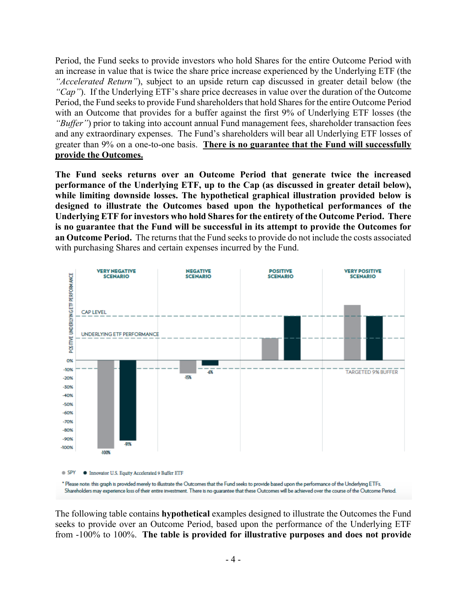Period, the Fund seeks to provide investors who hold Shares for the entire Outcome Period with an increase in value that is twice the share price increase experienced by the Underlying ETF (the *"Accelerated Return"*), subject to an upside return cap discussed in greater detail below (the *"Cap"*). If the Underlying ETF's share price decreases in value over the duration of the Outcome Period, the Fund seeks to provide Fund shareholders that hold Sharesfor the entire Outcome Period with an Outcome that provides for a buffer against the first 9% of Underlying ETF losses (the *"Buffer"*) prior to taking into account annual Fund management fees, shareholder transaction fees and any extraordinary expenses. The Fund's shareholders will bear all Underlying ETF losses of greater than 9% on a one-to-one basis. **There is no guarantee that the Fund will successfully provide the Outcomes.**

**The Fund seeks returns over an Outcome Period that generate twice the increased performance of the Underlying ETF, up to the Cap (as discussed in greater detail below), while limiting downside losses. The hypothetical graphical illustration provided below is designed to illustrate the Outcomes based upon the hypothetical performances of the Underlying ETF for investors who hold Shares for the entirety of the Outcome Period. There is no guarantee that the Fund will be successful in its attempt to provide the Outcomes for an Outcome Period.** The returns that the Fund seeks to provide do not include the costs associated with purchasing Shares and certain expenses incurred by the Fund.



The following table contains **hypothetical** examples designed to illustrate the Outcomes the Fund seeks to provide over an Outcome Period, based upon the performance of the Underlying ETF from -100% to 100%. **The table is provided for illustrative purposes and does not provide**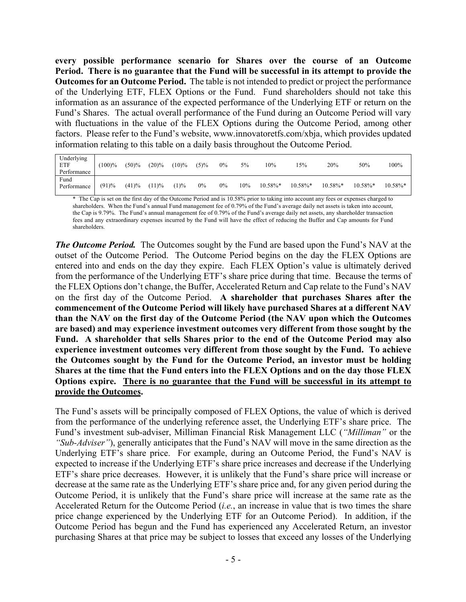**every possible performance scenario for Shares over the course of an Outcome Period. There is no guarantee that the Fund will be successful in its attempt to provide the Outcomes for an Outcome Period.** The table is not intended to predict or project the performance of the Underlying ETF, FLEX Options or the Fund. Fund shareholders should not take this information as an assurance of the expected performance of the Underlying ETF or return on the Fund's Shares. The actual overall performance of the Fund during an Outcome Period will vary with fluctuations in the value of the FLEX Options during the Outcome Period, among other factors. Please refer to the Fund's website, www.innovatoretfs.com/xbja, which provides updated information relating to this table on a daily basis throughout the Outcome Period.

| Underlying<br>ETF<br>Performance | (100)% | $(50)\%$ | $(20)\%$ | $(10)\%$ | $(5)\%$ | $0\%$ | 5%  | 10%         | 15%        | 20%         | 50%         | 100%        |
|----------------------------------|--------|----------|----------|----------|---------|-------|-----|-------------|------------|-------------|-------------|-------------|
| Fund<br>Performance              | (91)%  | (41)%    | (11)%    | (1)%     | $0\%$   | $0\%$ | 10% | $10.58\%$ * | $10.58\%*$ | $10.58\%$ * | $10.58\%$ * | $10.58\%$ * |

\* The Cap is set on the first day of the Outcome Period and is 10.58% prior to taking into account any fees or expenses charged to shareholders. When the Fund's annual Fund management fee of 0.79% of the Fund's average daily net assets is taken into account, the Cap is 9.79%. The Fund's annual management fee of 0.79% of the Fund's average daily net assets, any shareholder transaction fees and any extraordinary expenses incurred by the Fund will have the effect of reducing the Buffer and Cap amounts for Fund shareholders.

*The Outcome Period.* The Outcomes sought by the Fund are based upon the Fund's NAV at the outset of the Outcome Period. The Outcome Period begins on the day the FLEX Options are entered into and ends on the day they expire. Each FLEX Option's value is ultimately derived from the performance of the Underlying ETF's share price during that time. Because the terms of the FLEX Options don't change, the Buffer, Accelerated Return and Cap relate to the Fund's NAV on the first day of the Outcome Period. **A shareholder that purchases Shares after the commencement of the Outcome Period will likely have purchased Shares at a different NAV than the NAV on the first day of the Outcome Period (the NAV upon which the Outcomes are based) and may experience investment outcomes very different from those sought by the Fund. A shareholder that sells Shares prior to the end of the Outcome Period may also experience investment outcomes very different from those sought by the Fund. To achieve the Outcomes sought by the Fund for the Outcome Period, an investor must be holding Shares at the time that the Fund enters into the FLEX Options and on the day those FLEX Options expire. There is no guarantee that the Fund will be successful in its attempt to provide the Outcomes.**

The Fund's assets will be principally composed of FLEX Options, the value of which is derived from the performance of the underlying reference asset, the Underlying ETF's share price. The Fund's investment sub-adviser, Milliman Financial Risk Management LLC (*"Milliman"* or the *"Sub-Adviser"*), generally anticipates that the Fund's NAV will move in the same direction as the Underlying ETF's share price. For example, during an Outcome Period, the Fund's NAV is expected to increase if the Underlying ETF's share price increases and decrease if the Underlying ETF's share price decreases. However, it is unlikely that the Fund's share price will increase or decrease at the same rate as the Underlying ETF's share price and, for any given period during the Outcome Period, it is unlikely that the Fund's share price will increase at the same rate as the Accelerated Return for the Outcome Period (*i.e.*, an increase in value that is two times the share price change experienced by the Underlying ETF for an Outcome Period). In addition, if the Outcome Period has begun and the Fund has experienced any Accelerated Return, an investor purchasing Shares at that price may be subject to losses that exceed any losses of the Underlying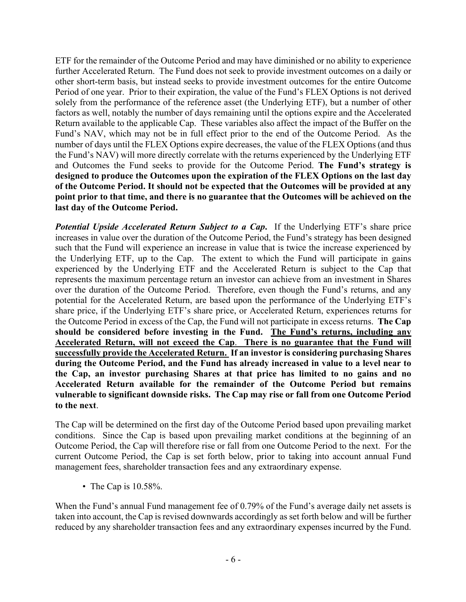ETF for the remainder of the Outcome Period and may have diminished or no ability to experience further Accelerated Return. The Fund does not seek to provide investment outcomes on a daily or other short-term basis, but instead seeks to provide investment outcomes for the entire Outcome Period of one year. Prior to their expiration, the value of the Fund's FLEX Options is not derived solely from the performance of the reference asset (the Underlying ETF), but a number of other factors as well, notably the number of days remaining until the options expire and the Accelerated Return available to the applicable Cap. These variables also affect the impact of the Buffer on the Fund's NAV, which may not be in full effect prior to the end of the Outcome Period. As the number of days until the FLEX Options expire decreases, the value of the FLEX Options (and thus the Fund's NAV) will more directly correlate with the returns experienced by the Underlying ETF and Outcomes the Fund seeks to provide for the Outcome Period. **The Fund's strategy is designed to produce the Outcomes upon the expiration of the FLEX Options on the last day of the Outcome Period. It should not be expected that the Outcomes will be provided at any point prior to that time, and there is no guarantee that the Outcomes will be achieved on the last day of the Outcome Period.**

*Potential Upside Accelerated Return Subject to a Cap***.** If the Underlying ETF's share price increases in value over the duration of the Outcome Period, the Fund's strategy has been designed such that the Fund will experience an increase in value that is twice the increase experienced by the Underlying ETF, up to the Cap. The extent to which the Fund will participate in gains experienced by the Underlying ETF and the Accelerated Return is subject to the Cap that represents the maximum percentage return an investor can achieve from an investment in Shares over the duration of the Outcome Period. Therefore, even though the Fund's returns, and any potential for the Accelerated Return, are based upon the performance of the Underlying ETF's share price, if the Underlying ETF's share price, or Accelerated Return, experiences returns for the Outcome Period in excess of the Cap, the Fund will not participate in excess returns. **The Cap should be considered before investing in the Fund. The Fund's returns, including any Accelerated Return, will not exceed the Cap**. **There is no guarantee that the Fund will successfully provide the Accelerated Return. If an investor is considering purchasing Shares during the Outcome Period, and the Fund has already increased in value to a level near to the Cap, an investor purchasing Shares at that price has limited to no gains and no Accelerated Return available for the remainder of the Outcome Period but remains vulnerable to significant downside risks. The Cap may rise or fall from one Outcome Period to the next**.

The Cap will be determined on the first day of the Outcome Period based upon prevailing market conditions. Since the Cap is based upon prevailing market conditions at the beginning of an Outcome Period, the Cap will therefore rise or fall from one Outcome Period to the next. For the current Outcome Period, the Cap is set forth below, prior to taking into account annual Fund management fees, shareholder transaction fees and any extraordinary expense.

• The Cap is 10.58%.

When the Fund's annual Fund management fee of 0.79% of the Fund's average daily net assets is taken into account, the Cap is revised downwards accordingly as set forth below and will be further reduced by any shareholder transaction fees and any extraordinary expenses incurred by the Fund.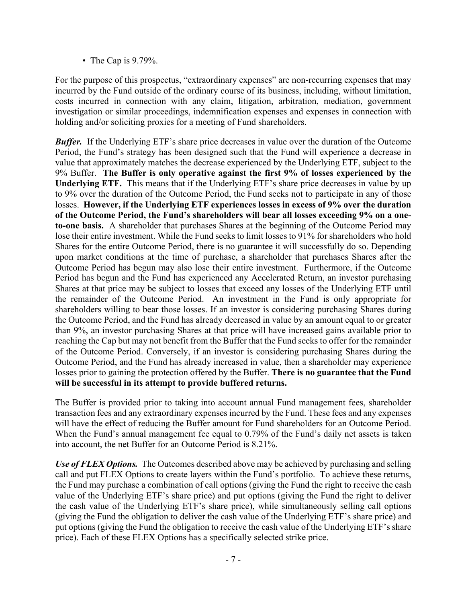• The Cap is 9.79%.

For the purpose of this prospectus, "extraordinary expenses" are non-recurring expenses that may incurred by the Fund outside of the ordinary course of its business, including, without limitation, costs incurred in connection with any claim, litigation, arbitration, mediation, government investigation or similar proceedings, indemnification expenses and expenses in connection with holding and/or soliciting proxies for a meeting of Fund shareholders.

*Buffer.* If the Underlying ETF's share price decreases in value over the duration of the Outcome Period, the Fund's strategy has been designed such that the Fund will experience a decrease in value that approximately matches the decrease experienced by the Underlying ETF, subject to the 9% Buffer. **The Buffer is only operative against the first 9% of losses experienced by the Underlying ETF.** This means that if the Underlying ETF's share price decreases in value by up to 9% over the duration of the Outcome Period, the Fund seeks not to participate in any of those losses. **However, if the Underlying ETF experiences losses in excess of 9% over the duration of the Outcome Period, the Fund's shareholders will bear all losses exceeding 9% on a oneto-one basis.** A shareholder that purchases Shares at the beginning of the Outcome Period may lose their entire investment. While the Fund seeks to limit losses to 91% for shareholders who hold Shares for the entire Outcome Period, there is no guarantee it will successfully do so. Depending upon market conditions at the time of purchase, a shareholder that purchases Shares after the Outcome Period has begun may also lose their entire investment. Furthermore, if the Outcome Period has begun and the Fund has experienced any Accelerated Return, an investor purchasing Shares at that price may be subject to losses that exceed any losses of the Underlying ETF until the remainder of the Outcome Period. An investment in the Fund is only appropriate for shareholders willing to bear those losses. If an investor is considering purchasing Shares during the Outcome Period, and the Fund has already decreased in value by an amount equal to or greater than 9%, an investor purchasing Shares at that price will have increased gains available prior to reaching the Cap but may not benefit from the Buffer that the Fund seeks to offer for the remainder of the Outcome Period. Conversely, if an investor is considering purchasing Shares during the Outcome Period, and the Fund has already increased in value, then a shareholder may experience losses prior to gaining the protection offered by the Buffer. **There is no guarantee that the Fund will be successful in its attempt to provide buffered returns.** 

The Buffer is provided prior to taking into account annual Fund management fees, shareholder transaction fees and any extraordinary expenses incurred by the Fund. These fees and any expenses will have the effect of reducing the Buffer amount for Fund shareholders for an Outcome Period. When the Fund's annual management fee equal to 0.79% of the Fund's daily net assets is taken into account, the net Buffer for an Outcome Period is 8.21%.

*Use of FLEX Options.* The Outcomes described above may be achieved by purchasing and selling call and put FLEX Options to create layers within the Fund's portfolio. To achieve these returns, the Fund may purchase a combination of call options (giving the Fund the right to receive the cash value of the Underlying ETF's share price) and put options (giving the Fund the right to deliver the cash value of the Underlying ETF's share price), while simultaneously selling call options (giving the Fund the obligation to deliver the cash value of the Underlying ETF's share price) and put options (giving the Fund the obligation to receive the cash value of the Underlying ETF's share price). Each of these FLEX Options has a specifically selected strike price.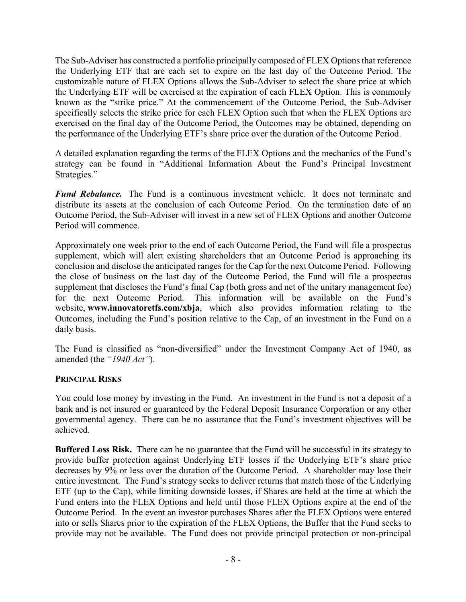The Sub-Adviser has constructed a portfolio principally composed of FLEX Options that reference the Underlying ETF that are each set to expire on the last day of the Outcome Period. The customizable nature of FLEX Options allows the Sub-Adviser to select the share price at which the Underlying ETF will be exercised at the expiration of each FLEX Option. This is commonly known as the "strike price." At the commencement of the Outcome Period, the Sub-Adviser specifically selects the strike price for each FLEX Option such that when the FLEX Options are exercised on the final day of the Outcome Period, the Outcomes may be obtained, depending on the performance of the Underlying ETF's share price over the duration of the Outcome Period.

A detailed explanation regarding the terms of the FLEX Options and the mechanics of the Fund's strategy can be found in "Additional Information About the Fund's Principal Investment Strategies."

*Fund Rebalance.* The Fund is a continuous investment vehicle. It does not terminate and distribute its assets at the conclusion of each Outcome Period. On the termination date of an Outcome Period, the Sub-Adviser will invest in a new set of FLEX Options and another Outcome Period will commence.

Approximately one week prior to the end of each Outcome Period, the Fund will file a prospectus supplement, which will alert existing shareholders that an Outcome Period is approaching its conclusion and disclose the anticipated ranges for the Cap for the next Outcome Period. Following the close of business on the last day of the Outcome Period, the Fund will file a prospectus supplement that discloses the Fund's final Cap (both gross and net of the unitary management fee) for the next Outcome Period. This information will be available on the Fund's website, **www.innovatoretfs.com/xbja**, which also provides information relating to the Outcomes, including the Fund's position relative to the Cap, of an investment in the Fund on a daily basis.

The Fund is classified as "non-diversified" under the Investment Company Act of 1940, as amended (the *"1940 Act"*).

#### **PRINCIPAL RISKS**

You could lose money by investing in the Fund. An investment in the Fund is not a deposit of a bank and is not insured or guaranteed by the Federal Deposit Insurance Corporation or any other governmental agency. There can be no assurance that the Fund's investment objectives will be achieved.

**Buffered Loss Risk.** There can be no guarantee that the Fund will be successful in its strategy to provide buffer protection against Underlying ETF losses if the Underlying ETF's share price decreases by 9% or less over the duration of the Outcome Period. A shareholder may lose their entire investment. The Fund's strategy seeks to deliver returns that match those of the Underlying ETF (up to the Cap), while limiting downside losses, if Shares are held at the time at which the Fund enters into the FLEX Options and held until those FLEX Options expire at the end of the Outcome Period. In the event an investor purchases Shares after the FLEX Options were entered into or sells Shares prior to the expiration of the FLEX Options, the Buffer that the Fund seeks to provide may not be available. The Fund does not provide principal protection or non-principal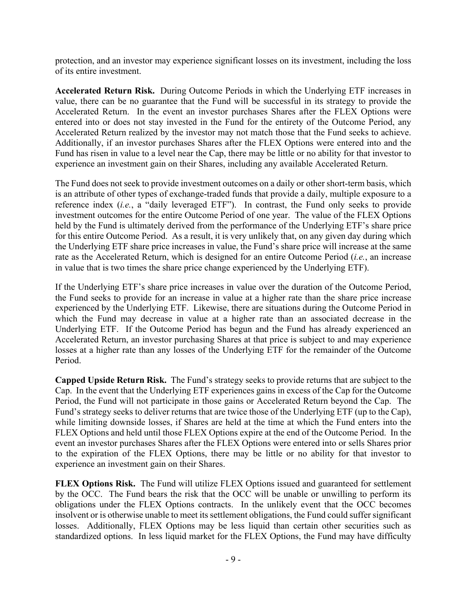protection, and an investor may experience significant losses on its investment, including the loss of its entire investment.

**Accelerated Return Risk.** During Outcome Periods in which the Underlying ETF increases in value, there can be no guarantee that the Fund will be successful in its strategy to provide the Accelerated Return. In the event an investor purchases Shares after the FLEX Options were entered into or does not stay invested in the Fund for the entirety of the Outcome Period, any Accelerated Return realized by the investor may not match those that the Fund seeks to achieve. Additionally, if an investor purchases Shares after the FLEX Options were entered into and the Fund has risen in value to a level near the Cap, there may be little or no ability for that investor to experience an investment gain on their Shares, including any available Accelerated Return.

The Fund does not seek to provide investment outcomes on a daily or other short-term basis, which is an attribute of other types of exchange-traded funds that provide a daily, multiple exposure to a reference index (*i.e.*, a "daily leveraged ETF"). In contrast, the Fund only seeks to provide investment outcomes for the entire Outcome Period of one year. The value of the FLEX Options held by the Fund is ultimately derived from the performance of the Underlying ETF's share price for this entire Outcome Period. As a result, it is very unlikely that, on any given day during which the Underlying ETF share price increases in value, the Fund's share price will increase at the same rate as the Accelerated Return, which is designed for an entire Outcome Period (*i.e.*, an increase in value that is two times the share price change experienced by the Underlying ETF).

If the Underlying ETF's share price increases in value over the duration of the Outcome Period, the Fund seeks to provide for an increase in value at a higher rate than the share price increase experienced by the Underlying ETF. Likewise, there are situations during the Outcome Period in which the Fund may decrease in value at a higher rate than an associated decrease in the Underlying ETF. If the Outcome Period has begun and the Fund has already experienced an Accelerated Return, an investor purchasing Shares at that price is subject to and may experience losses at a higher rate than any losses of the Underlying ETF for the remainder of the Outcome Period.

**Capped Upside Return Risk.** The Fund's strategy seeks to provide returns that are subject to the Cap. In the event that the Underlying ETF experiences gains in excess of the Cap for the Outcome Period, the Fund will not participate in those gains or Accelerated Return beyond the Cap. The Fund's strategy seeks to deliver returns that are twice those of the Underlying ETF (up to the Cap), while limiting downside losses, if Shares are held at the time at which the Fund enters into the FLEX Options and held until those FLEX Options expire at the end of the Outcome Period. In the event an investor purchases Shares after the FLEX Options were entered into or sells Shares prior to the expiration of the FLEX Options, there may be little or no ability for that investor to experience an investment gain on their Shares.

**FLEX Options Risk.** The Fund will utilize FLEX Options issued and guaranteed for settlement by the OCC. The Fund bears the risk that the OCC will be unable or unwilling to perform its obligations under the FLEX Options contracts. In the unlikely event that the OCC becomes insolvent or is otherwise unable to meet its settlement obligations, the Fund could suffer significant losses. Additionally, FLEX Options may be less liquid than certain other securities such as standardized options. In less liquid market for the FLEX Options, the Fund may have difficulty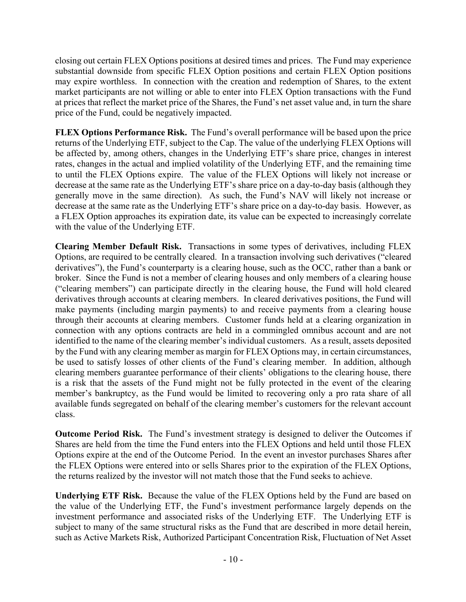closing out certain FLEX Options positions at desired times and prices. The Fund may experience substantial downside from specific FLEX Option positions and certain FLEX Option positions may expire worthless. In connection with the creation and redemption of Shares, to the extent market participants are not willing or able to enter into FLEX Option transactions with the Fund at prices that reflect the market price of the Shares, the Fund's net asset value and, in turn the share price of the Fund, could be negatively impacted.

**FLEX Options Performance Risk.** The Fund's overall performance will be based upon the price returns of the Underlying ETF, subject to the Cap. The value of the underlying FLEX Options will be affected by, among others, changes in the Underlying ETF's share price, changes in interest rates, changes in the actual and implied volatility of the Underlying ETF, and the remaining time to until the FLEX Options expire. The value of the FLEX Options will likely not increase or decrease at the same rate as the Underlying ETF's share price on a day-to-day basis (although they generally move in the same direction). As such, the Fund's NAV will likely not increase or decrease at the same rate as the Underlying ETF's share price on a day-to-day basis. However, as a FLEX Option approaches its expiration date, its value can be expected to increasingly correlate with the value of the Underlying ETF.

**Clearing Member Default Risk.** Transactions in some types of derivatives, including FLEX Options, are required to be centrally cleared. In a transaction involving such derivatives ("cleared derivatives"), the Fund's counterparty is a clearing house, such as the OCC, rather than a bank or broker. Since the Fund is not a member of clearing houses and only members of a clearing house ("clearing members") can participate directly in the clearing house, the Fund will hold cleared derivatives through accounts at clearing members. In cleared derivatives positions, the Fund will make payments (including margin payments) to and receive payments from a clearing house through their accounts at clearing members. Customer funds held at a clearing organization in connection with any options contracts are held in a commingled omnibus account and are not identified to the name of the clearing member's individual customers. As a result, assets deposited by the Fund with any clearing member as margin for FLEX Options may, in certain circumstances, be used to satisfy losses of other clients of the Fund's clearing member. In addition, although clearing members guarantee performance of their clients' obligations to the clearing house, there is a risk that the assets of the Fund might not be fully protected in the event of the clearing member's bankruptcy, as the Fund would be limited to recovering only a pro rata share of all available funds segregated on behalf of the clearing member's customers for the relevant account class.

**Outcome Period Risk.** The Fund's investment strategy is designed to deliver the Outcomes if Shares are held from the time the Fund enters into the FLEX Options and held until those FLEX Options expire at the end of the Outcome Period. In the event an investor purchases Shares after the FLEX Options were entered into or sells Shares prior to the expiration of the FLEX Options, the returns realized by the investor will not match those that the Fund seeks to achieve.

**Underlying ETF Risk.** Because the value of the FLEX Options held by the Fund are based on the value of the Underlying ETF, the Fund's investment performance largely depends on the investment performance and associated risks of the Underlying ETF. The Underlying ETF is subject to many of the same structural risks as the Fund that are described in more detail herein, such as Active Markets Risk, Authorized Participant Concentration Risk, Fluctuation of Net Asset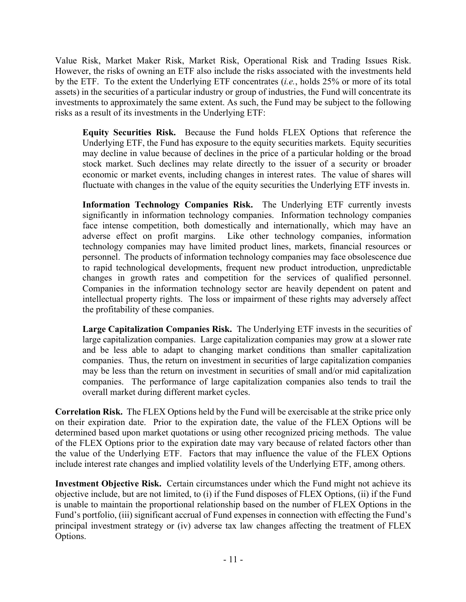Value Risk, Market Maker Risk, Market Risk, Operational Risk and Trading Issues Risk. However, the risks of owning an ETF also include the risks associated with the investments held by the ETF. To the extent the Underlying ETF concentrates (*i.e.*, holds 25% or more of its total assets) in the securities of a particular industry or group of industries, the Fund will concentrate its investments to approximately the same extent. As such, the Fund may be subject to the following risks as a result of its investments in the Underlying ETF:

**Equity Securities Risk.** Because the Fund holds FLEX Options that reference the Underlying ETF, the Fund has exposure to the equity securities markets. Equity securities may decline in value because of declines in the price of a particular holding or the broad stock market. Such declines may relate directly to the issuer of a security or broader economic or market events, including changes in interest rates. The value of shares will fluctuate with changes in the value of the equity securities the Underlying ETF invests in.

**Information Technology Companies Risk.** The Underlying ETF currently invests significantly in information technology companies.Information technology companies face intense competition, both domestically and internationally, which may have an adverse effect on profit margins. Like other technology companies, information technology companies may have limited product lines, markets, financial resources or personnel. The products of information technology companies may face obsolescence due to rapid technological developments, frequent new product introduction, unpredictable changes in growth rates and competition for the services of qualified personnel. Companies in the information technology sector are heavily dependent on patent and intellectual property rights. The loss or impairment of these rights may adversely affect the profitability of these companies.

**Large Capitalization Companies Risk.** The Underlying ETF invests in the securities of large capitalization companies. Large capitalization companies may grow at a slower rate and be less able to adapt to changing market conditions than smaller capitalization companies. Thus, the return on investment in securities of large capitalization companies may be less than the return on investment in securities of small and/or mid capitalization companies. The performance of large capitalization companies also tends to trail the overall market during different market cycles.

**Correlation Risk.** The FLEX Options held by the Fund will be exercisable at the strike price only on their expiration date. Prior to the expiration date, the value of the FLEX Options will be determined based upon market quotations or using other recognized pricing methods. The value of the FLEX Options prior to the expiration date may vary because of related factors other than the value of the Underlying ETF. Factors that may influence the value of the FLEX Options include interest rate changes and implied volatility levels of the Underlying ETF, among others.

**Investment Objective Risk.** Certain circumstances under which the Fund might not achieve its objective include, but are not limited, to (i) if the Fund disposes of FLEX Options, (ii) if the Fund is unable to maintain the proportional relationship based on the number of FLEX Options in the Fund's portfolio, (iii) significant accrual of Fund expenses in connection with effecting the Fund's principal investment strategy or (iv) adverse tax law changes affecting the treatment of FLEX Options.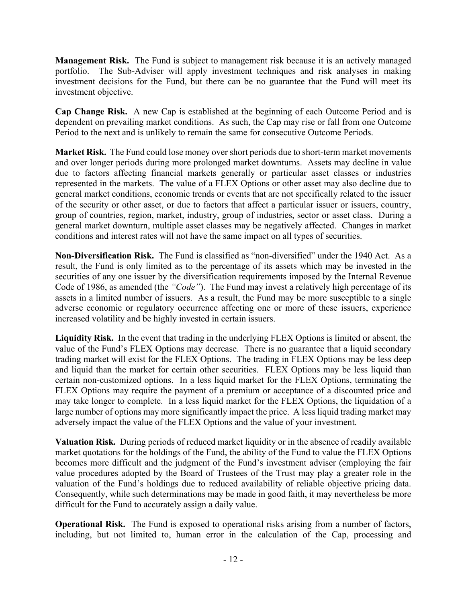**Management Risk.** The Fund is subject to management risk because it is an actively managed portfolio. The Sub-Adviser will apply investment techniques and risk analyses in making investment decisions for the Fund, but there can be no guarantee that the Fund will meet its investment objective.

**Cap Change Risk.** A new Cap is established at the beginning of each Outcome Period and is dependent on prevailing market conditions. As such, the Cap may rise or fall from one Outcome Period to the next and is unlikely to remain the same for consecutive Outcome Periods.

**Market Risk.** The Fund could lose money over short periods due to short-term market movements and over longer periods during more prolonged market downturns. Assets may decline in value due to factors affecting financial markets generally or particular asset classes or industries represented in the markets. The value of a FLEX Options or other asset may also decline due to general market conditions, economic trends or events that are not specifically related to the issuer of the security or other asset, or due to factors that affect a particular issuer or issuers, country, group of countries, region, market, industry, group of industries, sector or asset class. During a general market downturn, multiple asset classes may be negatively affected. Changes in market conditions and interest rates will not have the same impact on all types of securities.

**Non-Diversification Risk.** The Fund is classified as "non-diversified" under the 1940 Act. As a result, the Fund is only limited as to the percentage of its assets which may be invested in the securities of any one issuer by the diversification requirements imposed by the Internal Revenue Code of 1986, as amended (the *"Code"*). The Fund may invest a relatively high percentage of its assets in a limited number of issuers. As a result, the Fund may be more susceptible to a single adverse economic or regulatory occurrence affecting one or more of these issuers, experience increased volatility and be highly invested in certain issuers.

**Liquidity Risk.** In the event that trading in the underlying FLEX Options is limited or absent, the value of the Fund's FLEX Options may decrease. There is no guarantee that a liquid secondary trading market will exist for the FLEX Options. The trading in FLEX Options may be less deep and liquid than the market for certain other securities. FLEX Options may be less liquid than certain non-customized options. In a less liquid market for the FLEX Options, terminating the FLEX Options may require the payment of a premium or acceptance of a discounted price and may take longer to complete. In a less liquid market for the FLEX Options, the liquidation of a large number of options may more significantly impact the price. A less liquid trading market may adversely impact the value of the FLEX Options and the value of your investment.

**Valuation Risk.** During periods of reduced market liquidity or in the absence of readily available market quotations for the holdings of the Fund, the ability of the Fund to value the FLEX Options becomes more difficult and the judgment of the Fund's investment adviser (employing the fair value procedures adopted by the Board of Trustees of the Trust may play a greater role in the valuation of the Fund's holdings due to reduced availability of reliable objective pricing data. Consequently, while such determinations may be made in good faith, it may nevertheless be more difficult for the Fund to accurately assign a daily value.

**Operational Risk.** The Fund is exposed to operational risks arising from a number of factors, including, but not limited to, human error in the calculation of the Cap, processing and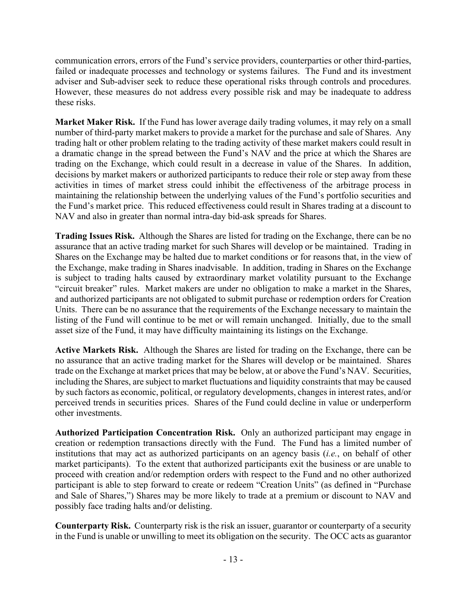communication errors, errors of the Fund's service providers, counterparties or other third-parties, failed or inadequate processes and technology or systems failures. The Fund and its investment adviser and Sub-adviser seek to reduce these operational risks through controls and procedures. However, these measures do not address every possible risk and may be inadequate to address these risks.

**Market Maker Risk.** If the Fund has lower average daily trading volumes, it may rely on a small number of third-party market makers to provide a market for the purchase and sale of Shares. Any trading halt or other problem relating to the trading activity of these market makers could result in a dramatic change in the spread between the Fund's NAV and the price at which the Shares are trading on the Exchange, which could result in a decrease in value of the Shares. In addition, decisions by market makers or authorized participants to reduce their role or step away from these activities in times of market stress could inhibit the effectiveness of the arbitrage process in maintaining the relationship between the underlying values of the Fund's portfolio securities and the Fund's market price. This reduced effectiveness could result in Shares trading at a discount to NAV and also in greater than normal intra-day bid-ask spreads for Shares.

**Trading Issues Risk.** Although the Shares are listed for trading on the Exchange, there can be no assurance that an active trading market for such Shares will develop or be maintained. Trading in Shares on the Exchange may be halted due to market conditions or for reasons that, in the view of the Exchange, make trading in Shares inadvisable. In addition, trading in Shares on the Exchange is subject to trading halts caused by extraordinary market volatility pursuant to the Exchange "circuit breaker" rules. Market makers are under no obligation to make a market in the Shares, and authorized participants are not obligated to submit purchase or redemption orders for Creation Units. There can be no assurance that the requirements of the Exchange necessary to maintain the listing of the Fund will continue to be met or will remain unchanged. Initially, due to the small asset size of the Fund, it may have difficulty maintaining its listings on the Exchange.

**Active Markets Risk.** Although the Shares are listed for trading on the Exchange, there can be no assurance that an active trading market for the Shares will develop or be maintained. Shares trade on the Exchange at market prices that may be below, at or above the Fund's NAV. Securities, including the Shares, are subject to market fluctuations and liquidity constraints that may be caused by such factors as economic, political, or regulatory developments, changes in interest rates, and/or perceived trends in securities prices. Shares of the Fund could decline in value or underperform other investments.

**Authorized Participation Concentration Risk.** Only an authorized participant may engage in creation or redemption transactions directly with the Fund. The Fund has a limited number of institutions that may act as authorized participants on an agency basis (*i.e.*, on behalf of other market participants). To the extent that authorized participants exit the business or are unable to proceed with creation and/or redemption orders with respect to the Fund and no other authorized participant is able to step forward to create or redeem "Creation Units" (as defined in "Purchase and Sale of Shares,") Shares may be more likely to trade at a premium or discount to NAV and possibly face trading halts and/or delisting.

**Counterparty Risk.** Counterparty risk is the risk an issuer, guarantor or counterparty of a security in the Fund is unable or unwilling to meet its obligation on the security. The OCC acts as guarantor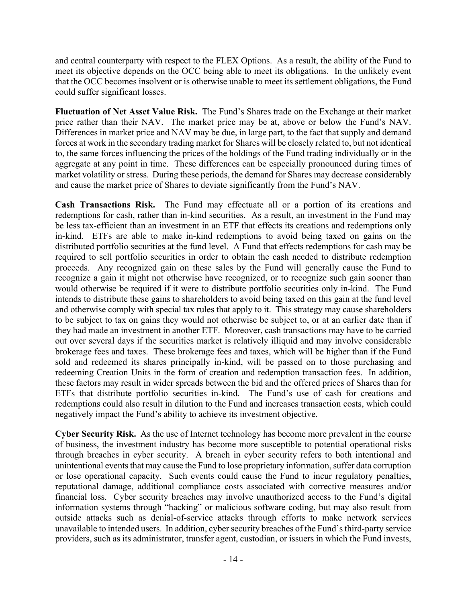and central counterparty with respect to the FLEX Options. As a result, the ability of the Fund to meet its objective depends on the OCC being able to meet its obligations. In the unlikely event that the OCC becomes insolvent or is otherwise unable to meet its settlement obligations, the Fund could suffer significant losses.

**Fluctuation of Net Asset Value Risk.** The Fund's Shares trade on the Exchange at their market price rather than their NAV. The market price may be at, above or below the Fund's NAV. Differences in market price and NAV may be due, in large part, to the fact that supply and demand forces at work in the secondary trading market for Shares will be closely related to, but not identical to, the same forces influencing the prices of the holdings of the Fund trading individually or in the aggregate at any point in time. These differences can be especially pronounced during times of market volatility or stress. During these periods, the demand for Shares may decrease considerably and cause the market price of Shares to deviate significantly from the Fund's NAV.

**Cash Transactions Risk.** The Fund may effectuate all or a portion of its creations and redemptions for cash, rather than in-kind securities. As a result, an investment in the Fund may be less tax-efficient than an investment in an ETF that effects its creations and redemptions only in-kind. ETFs are able to make in-kind redemptions to avoid being taxed on gains on the distributed portfolio securities at the fund level. A Fund that effects redemptions for cash may be required to sell portfolio securities in order to obtain the cash needed to distribute redemption proceeds. Any recognized gain on these sales by the Fund will generally cause the Fund to recognize a gain it might not otherwise have recognized, or to recognize such gain sooner than would otherwise be required if it were to distribute portfolio securities only in-kind. The Fund intends to distribute these gains to shareholders to avoid being taxed on this gain at the fund level and otherwise comply with special tax rules that apply to it. This strategy may cause shareholders to be subject to tax on gains they would not otherwise be subject to, or at an earlier date than if they had made an investment in another ETF. Moreover, cash transactions may have to be carried out over several days if the securities market is relatively illiquid and may involve considerable brokerage fees and taxes. These brokerage fees and taxes, which will be higher than if the Fund sold and redeemed its shares principally in-kind, will be passed on to those purchasing and redeeming Creation Units in the form of creation and redemption transaction fees. In addition, these factors may result in wider spreads between the bid and the offered prices of Shares than for ETFs that distribute portfolio securities in-kind. The Fund's use of cash for creations and redemptions could also result in dilution to the Fund and increases transaction costs, which could negatively impact the Fund's ability to achieve its investment objective.

**Cyber Security Risk.** As the use of Internet technology has become more prevalent in the course of business, the investment industry has become more susceptible to potential operational risks through breaches in cyber security. A breach in cyber security refers to both intentional and unintentional events that may cause the Fund to lose proprietary information, suffer data corruption or lose operational capacity. Such events could cause the Fund to incur regulatory penalties, reputational damage, additional compliance costs associated with corrective measures and/or financial loss. Cyber security breaches may involve unauthorized access to the Fund's digital information systems through "hacking" or malicious software coding, but may also result from outside attacks such as denial-of-service attacks through efforts to make network services unavailable to intended users. In addition, cyber security breaches of the Fund's third-party service providers, such as its administrator, transfer agent, custodian, or issuers in which the Fund invests,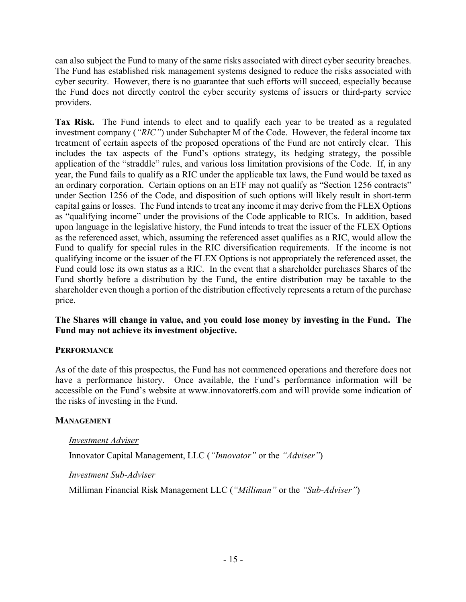can also subject the Fund to many of the same risks associated with direct cyber security breaches. The Fund has established risk management systems designed to reduce the risks associated with cyber security. However, there is no guarantee that such efforts will succeed, especially because the Fund does not directly control the cyber security systems of issuers or third-party service providers.

**Tax Risk.** The Fund intends to elect and to qualify each year to be treated as a regulated investment company (*"RIC"*) under Subchapter M of the Code. However, the federal income tax treatment of certain aspects of the proposed operations of the Fund are not entirely clear. This includes the tax aspects of the Fund's options strategy, its hedging strategy, the possible application of the "straddle" rules, and various loss limitation provisions of the Code. If, in any year, the Fund fails to qualify as a RIC under the applicable tax laws, the Fund would be taxed as an ordinary corporation. Certain options on an ETF may not qualify as "Section 1256 contracts" under Section 1256 of the Code, and disposition of such options will likely result in short-term capital gains or losses. The Fund intends to treat any income it may derive from the FLEX Options as "qualifying income" under the provisions of the Code applicable to RICs. In addition, based upon language in the legislative history, the Fund intends to treat the issuer of the FLEX Options as the referenced asset, which, assuming the referenced asset qualifies as a RIC, would allow the Fund to qualify for special rules in the RIC diversification requirements. If the income is not qualifying income or the issuer of the FLEX Options is not appropriately the referenced asset, the Fund could lose its own status as a RIC. In the event that a shareholder purchases Shares of the Fund shortly before a distribution by the Fund, the entire distribution may be taxable to the shareholder even though a portion of the distribution effectively represents a return of the purchase price.

#### **The Shares will change in value, and you could lose money by investing in the Fund. The Fund may not achieve its investment objective.**

# **PERFORMANCE**

As of the date of this prospectus, the Fund has not commenced operations and therefore does not have a performance history. Once available, the Fund's performance information will be accessible on the Fund's website at www.innovatoretfs.com and will provide some indication of the risks of investing in the Fund.

#### **MANAGEMENT**

# *Investment Adviser*

Innovator Capital Management, LLC (*"Innovator"* or the *"Adviser"*)

#### *Investment Sub-Adviser*

Milliman Financial Risk Management LLC (*"Milliman"* or the *"Sub-Adviser"*)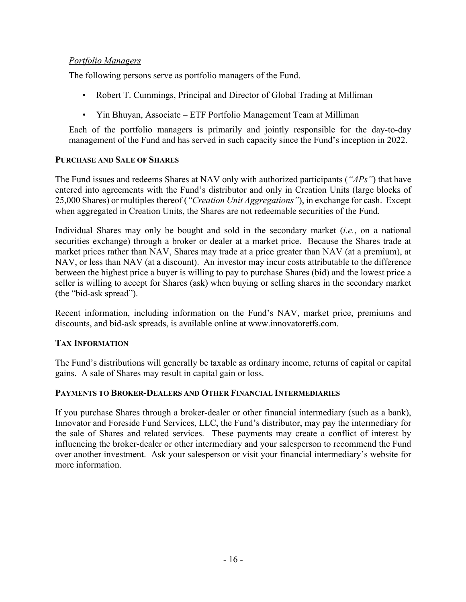#### *Portfolio Managers*

The following persons serve as portfolio managers of the Fund.

- Robert T. Cummings, Principal and Director of Global Trading at Milliman
- Yin Bhuyan, Associate ETF Portfolio Management Team at Milliman

Each of the portfolio managers is primarily and jointly responsible for the day-to-day management of the Fund and has served in such capacity since the Fund's inception in 2022.

#### **PURCHASE AND SALE OF SHARES**

The Fund issues and redeems Shares at NAV only with authorized participants (*"APs"*) that have entered into agreements with the Fund's distributor and only in Creation Units (large blocks of 25,000 Shares) or multiples thereof (*"Creation Unit Aggregations"*), in exchange for cash. Except when aggregated in Creation Units, the Shares are not redeemable securities of the Fund.

Individual Shares may only be bought and sold in the secondary market (*i.e.*, on a national securities exchange) through a broker or dealer at a market price. Because the Shares trade at market prices rather than NAV, Shares may trade at a price greater than NAV (at a premium), at NAV, or less than NAV (at a discount). An investor may incur costs attributable to the difference between the highest price a buyer is willing to pay to purchase Shares (bid) and the lowest price a seller is willing to accept for Shares (ask) when buying or selling shares in the secondary market (the "bid-ask spread").

Recent information, including information on the Fund's NAV, market price, premiums and discounts, and bid-ask spreads, is available online at www.innovatoretfs.com.

# **TAX INFORMATION**

The Fund's distributions will generally be taxable as ordinary income, returns of capital or capital gains. A sale of Shares may result in capital gain or loss.

#### **PAYMENTS TO BROKER-DEALERS AND OTHER FINANCIAL INTERMEDIARIES**

If you purchase Shares through a broker-dealer or other financial intermediary (such as a bank), Innovator and Foreside Fund Services, LLC, the Fund's distributor, may pay the intermediary for the sale of Shares and related services. These payments may create a conflict of interest by influencing the broker-dealer or other intermediary and your salesperson to recommend the Fund over another investment. Ask your salesperson or visit your financial intermediary's website for more information.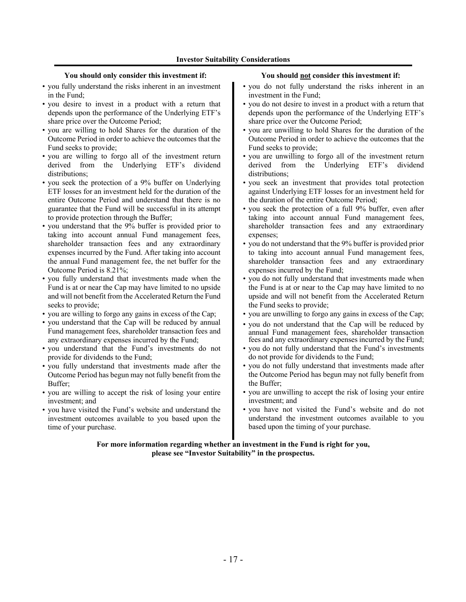#### **You should only consider this investment if: You should not consider this investment if:**

- you fully understand the risks inherent in an investment in the Fund;
- you desire to invest in a product with a return that depends upon the performance of the Underlying ETF's share price over the Outcome Period;
- you are willing to hold Shares for the duration of the Outcome Period in order to achieve the outcomes that the Fund seeks to provide;
- you are willing to forgo all of the investment return derived from the Underlying ETF's dividend distributions;
- you seek the protection of a 9% buffer on Underlying ETF losses for an investment held for the duration of the entire Outcome Period and understand that there is no guarantee that the Fund will be successful in its attempt to provide protection through the Buffer;
- you understand that the 9% buffer is provided prior to taking into account annual Fund management fees, shareholder transaction fees and any extraordinary expenses incurred by the Fund. After taking into account the annual Fund management fee, the net buffer for the Outcome Period is 8.21%;
- you fully understand that investments made when the Fund is at or near the Cap may have limited to no upside and will not benefit from the Accelerated Return the Fund seeks to provide;
- you are willing to forgo any gains in excess of the Cap;
- you understand that the Cap will be reduced by annual Fund management fees, shareholder transaction fees and any extraordinary expenses incurred by the Fund;
- you understand that the Fund's investments do not provide for dividends to the Fund;
- you fully understand that investments made after the Outcome Period has begun may not fully benefit from the Buffer;
- you are willing to accept the risk of losing your entire investment; and
- you have visited the Fund's website and understand the investment outcomes available to you based upon the time of your purchase.

- you do not fully understand the risks inherent in an investment in the Fund;
- you do not desire to invest in a product with a return that depends upon the performance of the Underlying ETF's share price over the Outcome Period;
- you are unwilling to hold Shares for the duration of the Outcome Period in order to achieve the outcomes that the Fund seeks to provide;
- you are unwilling to forgo all of the investment return derived from the Underlying ETF's dividend distributions;
- you seek an investment that provides total protection against Underlying ETF losses for an investment held for the duration of the entire Outcome Period;
- you seek the protection of a full 9% buffer, even after taking into account annual Fund management fees, shareholder transaction fees and any extraordinary expenses;
- you do not understand that the 9% buffer is provided prior to taking into account annual Fund management fees, shareholder transaction fees and any extraordinary expenses incurred by the Fund;
- you do not fully understand that investments made when the Fund is at or near to the Cap may have limited to no upside and will not benefit from the Accelerated Return the Fund seeks to provide;
- you are unwilling to forgo any gains in excess of the Cap;
- you do not understand that the Cap will be reduced by annual Fund management fees, shareholder transaction fees and any extraordinary expenses incurred by the Fund;
- you do not fully understand that the Fund's investments do not provide for dividends to the Fund;
- you do not fully understand that investments made after the Outcome Period has begun may not fully benefit from the Buffer;
- you are unwilling to accept the risk of losing your entire investment; and
- you have not visited the Fund's website and do not understand the investment outcomes available to you based upon the timing of your purchase.

**For more information regarding whether an investment in the Fund is right for you, please see "Investor Suitability" in the prospectus.**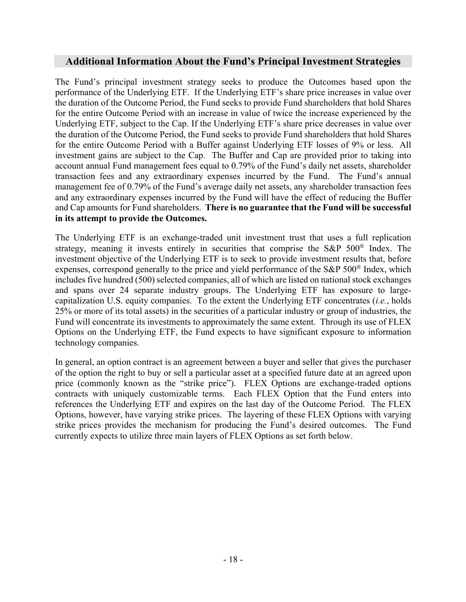# **Additional Information About the Fund's Principal Investment Strategies**

The Fund's principal investment strategy seeks to produce the Outcomes based upon the performance of the Underlying ETF. If the Underlying ETF's share price increases in value over the duration of the Outcome Period, the Fund seeks to provide Fund shareholders that hold Shares for the entire Outcome Period with an increase in value of twice the increase experienced by the Underlying ETF, subject to the Cap. If the Underlying ETF's share price decreases in value over the duration of the Outcome Period, the Fund seeks to provide Fund shareholders that hold Shares for the entire Outcome Period with a Buffer against Underlying ETF losses of 9% or less. All investment gains are subject to the Cap. The Buffer and Cap are provided prior to taking into account annual Fund management fees equal to 0.79% of the Fund's daily net assets, shareholder transaction fees and any extraordinary expenses incurred by the Fund. The Fund's annual management fee of 0.79% of the Fund's average daily net assets, any shareholder transaction fees and any extraordinary expenses incurred by the Fund will have the effect of reducing the Buffer and Cap amounts for Fund shareholders. **There is no guarantee that the Fund will be successful in its attempt to provide the Outcomes.**

The Underlying ETF is an exchange-traded unit investment trust that uses a full replication strategy, meaning it invests entirely in securities that comprise the S&P 500® Index. The investment objective of the Underlying ETF is to seek to provide investment results that, before expenses, correspond generally to the price and yield performance of the S&P 500® Index, which includes five hundred (500) selected companies, all of which are listed on national stock exchanges and spans over 24 separate industry groups. The Underlying ETF has exposure to largecapitalization U.S. equity companies. To the extent the Underlying ETF concentrates (*i.e.*, holds 25% or more of its total assets) in the securities of a particular industry or group of industries, the Fund will concentrate its investments to approximately the same extent. Through its use of FLEX Options on the Underlying ETF, the Fund expects to have significant exposure to information technology companies.

In general, an option contract is an agreement between a buyer and seller that gives the purchaser of the option the right to buy or sell a particular asset at a specified future date at an agreed upon price (commonly known as the "strike price"). FLEX Options are exchange-traded options contracts with uniquely customizable terms. Each FLEX Option that the Fund enters into references the Underlying ETF and expires on the last day of the Outcome Period. The FLEX Options, however, have varying strike prices. The layering of these FLEX Options with varying strike prices provides the mechanism for producing the Fund's desired outcomes. The Fund currently expects to utilize three main layers of FLEX Options as set forth below.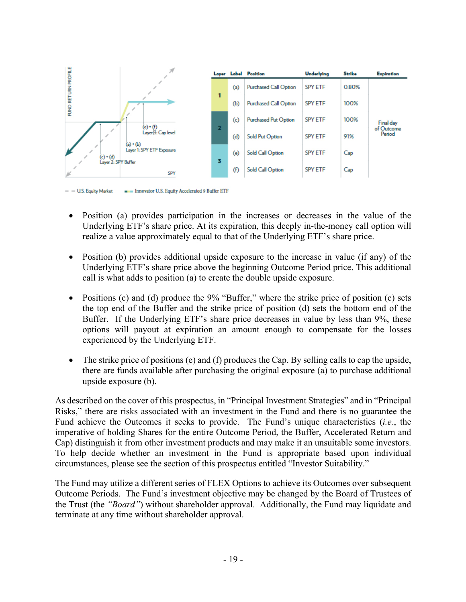

- U.S. Equity Market Innovator U.S. Equity Accelerated 9 Buffer ETF

- Position (a) provides participation in the increases or decreases in the value of the Underlying ETF's share price. At its expiration, this deeply in-the-money call option will realize a value approximately equal to that of the Underlying ETF's share price.
- Position (b) provides additional upside exposure to the increase in value (if any) of the Underlying ETF's share price above the beginning Outcome Period price. This additional call is what adds to position (a) to create the double upside exposure.
- Positions (c) and (d) produce the 9% "Buffer," where the strike price of position (c) sets the top end of the Buffer and the strike price of position (d) sets the bottom end of the Buffer. If the Underlying ETF's share price decreases in value by less than 9%, these options will payout at expiration an amount enough to compensate for the losses experienced by the Underlying ETF.
- The strike price of positions (e) and (f) produces the Cap. By selling calls to cap the upside, there are funds available after purchasing the original exposure (a) to purchase additional upside exposure (b).

As described on the cover of this prospectus, in "Principal Investment Strategies" and in "Principal Risks," there are risks associated with an investment in the Fund and there is no guarantee the Fund achieve the Outcomes it seeks to provide. The Fund's unique characteristics (*i.e.*, the imperative of holding Shares for the entire Outcome Period, the Buffer, Accelerated Return and Cap) distinguish it from other investment products and may make it an unsuitable some investors. To help decide whether an investment in the Fund is appropriate based upon individual circumstances, please see the section of this prospectus entitled "Investor Suitability."

The Fund may utilize a different series of FLEX Options to achieve its Outcomes over subsequent Outcome Periods. The Fund's investment objective may be changed by the Board of Trustees of the Trust (the *"Board"*) without shareholder approval. Additionally, the Fund may liquidate and terminate at any time without shareholder approval.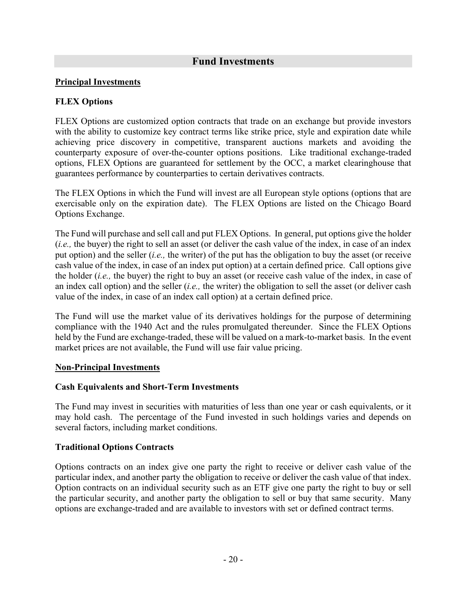# **Fund Investments**

#### **Principal Investments**

#### **FLEX Options**

FLEX Options are customized option contracts that trade on an exchange but provide investors with the ability to customize key contract terms like strike price, style and expiration date while achieving price discovery in competitive, transparent auctions markets and avoiding the counterparty exposure of over-the-counter options positions. Like traditional exchange-traded options, FLEX Options are guaranteed for settlement by the OCC, a market clearinghouse that guarantees performance by counterparties to certain derivatives contracts.

The FLEX Options in which the Fund will invest are all European style options (options that are exercisable only on the expiration date). The FLEX Options are listed on the Chicago Board Options Exchange.

The Fund will purchase and sell call and put FLEX Options. In general, put options give the holder (*i.e.,* the buyer) the right to sell an asset (or deliver the cash value of the index, in case of an index put option) and the seller (*i.e.,* the writer) of the put has the obligation to buy the asset (or receive cash value of the index, in case of an index put option) at a certain defined price. Call options give the holder (*i.e.,* the buyer) the right to buy an asset (or receive cash value of the index, in case of an index call option) and the seller (*i.e.,* the writer) the obligation to sell the asset (or deliver cash value of the index, in case of an index call option) at a certain defined price.

The Fund will use the market value of its derivatives holdings for the purpose of determining compliance with the 1940 Act and the rules promulgated thereunder. Since the FLEX Options held by the Fund are exchange-traded, these will be valued on a mark-to-market basis. In the event market prices are not available, the Fund will use fair value pricing.

#### **Non-Principal Investments**

#### **Cash Equivalents and Short-Term Investments**

The Fund may invest in securities with maturities of less than one year or cash equivalents, or it may hold cash. The percentage of the Fund invested in such holdings varies and depends on several factors, including market conditions.

#### **Traditional Options Contracts**

Options contracts on an index give one party the right to receive or deliver cash value of the particular index, and another party the obligation to receive or deliver the cash value of that index. Option contracts on an individual security such as an ETF give one party the right to buy or sell the particular security, and another party the obligation to sell or buy that same security. Many options are exchange-traded and are available to investors with set or defined contract terms.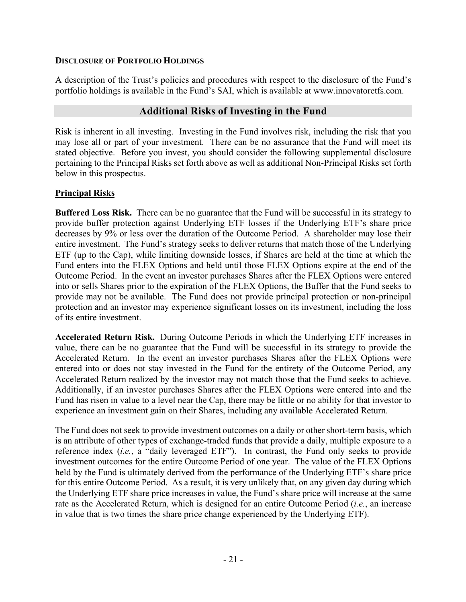#### **DISCLOSURE OF PORTFOLIO HOLDINGS**

A description of the Trust's policies and procedures with respect to the disclosure of the Fund's portfolio holdings is available in the Fund's SAI, which is available at www.innovatoretfs.com.

#### **Additional Risks of Investing in the Fund**

Risk is inherent in all investing. Investing in the Fund involves risk, including the risk that you may lose all or part of your investment. There can be no assurance that the Fund will meet its stated objective. Before you invest, you should consider the following supplemental disclosure pertaining to the Principal Risks set forth above as well as additional Non-Principal Risks set forth below in this prospectus.

#### **Principal Risks**

**Buffered Loss Risk.** There can be no guarantee that the Fund will be successful in its strategy to provide buffer protection against Underlying ETF losses if the Underlying ETF's share price decreases by 9% or less over the duration of the Outcome Period. A shareholder may lose their entire investment. The Fund's strategy seeks to deliver returns that match those of the Underlying ETF (up to the Cap), while limiting downside losses, if Shares are held at the time at which the Fund enters into the FLEX Options and held until those FLEX Options expire at the end of the Outcome Period. In the event an investor purchases Shares after the FLEX Options were entered into or sells Shares prior to the expiration of the FLEX Options, the Buffer that the Fund seeks to provide may not be available. The Fund does not provide principal protection or non-principal protection and an investor may experience significant losses on its investment, including the loss of its entire investment.

**Accelerated Return Risk.** During Outcome Periods in which the Underlying ETF increases in value, there can be no guarantee that the Fund will be successful in its strategy to provide the Accelerated Return. In the event an investor purchases Shares after the FLEX Options were entered into or does not stay invested in the Fund for the entirety of the Outcome Period, any Accelerated Return realized by the investor may not match those that the Fund seeks to achieve. Additionally, if an investor purchases Shares after the FLEX Options were entered into and the Fund has risen in value to a level near the Cap, there may be little or no ability for that investor to experience an investment gain on their Shares, including any available Accelerated Return.

The Fund does not seek to provide investment outcomes on a daily or other short-term basis, which is an attribute of other types of exchange-traded funds that provide a daily, multiple exposure to a reference index (*i.e.*, a "daily leveraged ETF"). In contrast, the Fund only seeks to provide investment outcomes for the entire Outcome Period of one year. The value of the FLEX Options held by the Fund is ultimately derived from the performance of the Underlying ETF's share price for this entire Outcome Period. As a result, it is very unlikely that, on any given day during which the Underlying ETF share price increases in value, the Fund's share price will increase at the same rate as the Accelerated Return, which is designed for an entire Outcome Period (*i.e.*, an increase in value that is two times the share price change experienced by the Underlying ETF).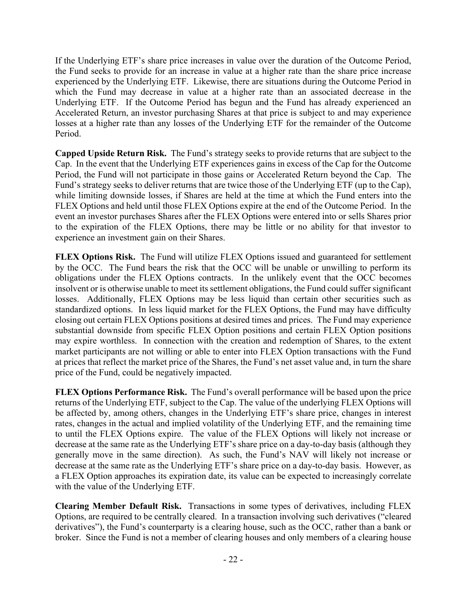If the Underlying ETF's share price increases in value over the duration of the Outcome Period, the Fund seeks to provide for an increase in value at a higher rate than the share price increase experienced by the Underlying ETF. Likewise, there are situations during the Outcome Period in which the Fund may decrease in value at a higher rate than an associated decrease in the Underlying ETF. If the Outcome Period has begun and the Fund has already experienced an Accelerated Return, an investor purchasing Shares at that price is subject to and may experience losses at a higher rate than any losses of the Underlying ETF for the remainder of the Outcome Period.

**Capped Upside Return Risk.** The Fund's strategy seeks to provide returns that are subject to the Cap. In the event that the Underlying ETF experiences gains in excess of the Cap for the Outcome Period, the Fund will not participate in those gains or Accelerated Return beyond the Cap. The Fund's strategy seeks to deliver returns that are twice those of the Underlying ETF (up to the Cap), while limiting downside losses, if Shares are held at the time at which the Fund enters into the FLEX Options and held until those FLEX Options expire at the end of the Outcome Period. In the event an investor purchases Shares after the FLEX Options were entered into or sells Shares prior to the expiration of the FLEX Options, there may be little or no ability for that investor to experience an investment gain on their Shares.

**FLEX Options Risk.** The Fund will utilize FLEX Options issued and guaranteed for settlement by the OCC. The Fund bears the risk that the OCC will be unable or unwilling to perform its obligations under the FLEX Options contracts. In the unlikely event that the OCC becomes insolvent or is otherwise unable to meet its settlement obligations, the Fund could suffer significant losses. Additionally, FLEX Options may be less liquid than certain other securities such as standardized options. In less liquid market for the FLEX Options, the Fund may have difficulty closing out certain FLEX Options positions at desired times and prices. The Fund may experience substantial downside from specific FLEX Option positions and certain FLEX Option positions may expire worthless. In connection with the creation and redemption of Shares, to the extent market participants are not willing or able to enter into FLEX Option transactions with the Fund at prices that reflect the market price of the Shares, the Fund's net asset value and, in turn the share price of the Fund, could be negatively impacted.

**FLEX Options Performance Risk.** The Fund's overall performance will be based upon the price returns of the Underlying ETF, subject to the Cap. The value of the underlying FLEX Options will be affected by, among others, changes in the Underlying ETF's share price, changes in interest rates, changes in the actual and implied volatility of the Underlying ETF, and the remaining time to until the FLEX Options expire. The value of the FLEX Options will likely not increase or decrease at the same rate as the Underlying ETF's share price on a day-to-day basis (although they generally move in the same direction). As such, the Fund's NAV will likely not increase or decrease at the same rate as the Underlying ETF's share price on a day-to-day basis. However, as a FLEX Option approaches its expiration date, its value can be expected to increasingly correlate with the value of the Underlying ETF.

**Clearing Member Default Risk.** Transactions in some types of derivatives, including FLEX Options, are required to be centrally cleared. In a transaction involving such derivatives ("cleared derivatives"), the Fund's counterparty is a clearing house, such as the OCC, rather than a bank or broker. Since the Fund is not a member of clearing houses and only members of a clearing house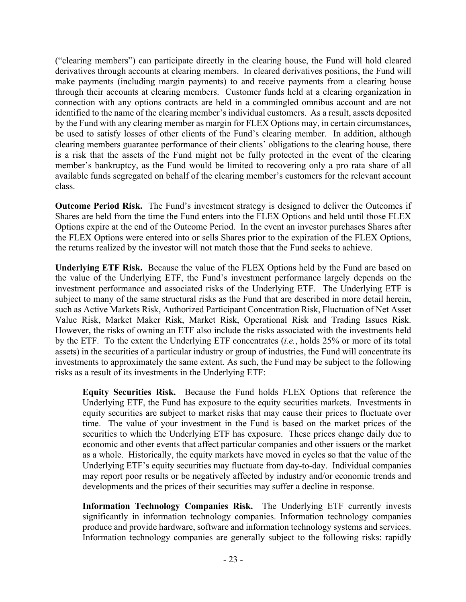("clearing members") can participate directly in the clearing house, the Fund will hold cleared derivatives through accounts at clearing members. In cleared derivatives positions, the Fund will make payments (including margin payments) to and receive payments from a clearing house through their accounts at clearing members. Customer funds held at a clearing organization in connection with any options contracts are held in a commingled omnibus account and are not identified to the name of the clearing member's individual customers. As a result, assets deposited by the Fund with any clearing member as margin for FLEX Options may, in certain circumstances, be used to satisfy losses of other clients of the Fund's clearing member. In addition, although clearing members guarantee performance of their clients' obligations to the clearing house, there is a risk that the assets of the Fund might not be fully protected in the event of the clearing member's bankruptcy, as the Fund would be limited to recovering only a pro rata share of all available funds segregated on behalf of the clearing member's customers for the relevant account class.

**Outcome Period Risk.** The Fund's investment strategy is designed to deliver the Outcomes if Shares are held from the time the Fund enters into the FLEX Options and held until those FLEX Options expire at the end of the Outcome Period. In the event an investor purchases Shares after the FLEX Options were entered into or sells Shares prior to the expiration of the FLEX Options, the returns realized by the investor will not match those that the Fund seeks to achieve.

**Underlying ETF Risk.** Because the value of the FLEX Options held by the Fund are based on the value of the Underlying ETF, the Fund's investment performance largely depends on the investment performance and associated risks of the Underlying ETF. The Underlying ETF is subject to many of the same structural risks as the Fund that are described in more detail herein, such as Active Markets Risk, Authorized Participant Concentration Risk, Fluctuation of Net Asset Value Risk, Market Maker Risk, Market Risk, Operational Risk and Trading Issues Risk. However, the risks of owning an ETF also include the risks associated with the investments held by the ETF. To the extent the Underlying ETF concentrates (*i.e.*, holds 25% or more of its total assets) in the securities of a particular industry or group of industries, the Fund will concentrate its investments to approximately the same extent. As such, the Fund may be subject to the following risks as a result of its investments in the Underlying ETF:

**Equity Securities Risk.** Because the Fund holds FLEX Options that reference the Underlying ETF, the Fund has exposure to the equity securities markets. Investments in equity securities are subject to market risks that may cause their prices to fluctuate over time. The value of your investment in the Fund is based on the market prices of the securities to which the Underlying ETF has exposure. These prices change daily due to economic and other events that affect particular companies and other issuers or the market as a whole. Historically, the equity markets have moved in cycles so that the value of the Underlying ETF's equity securities may fluctuate from day-to-day. Individual companies may report poor results or be negatively affected by industry and/or economic trends and developments and the prices of their securities may suffer a decline in response.

**Information Technology Companies Risk.** The Underlying ETF currently invests significantly in information technology companies. Information technology companies produce and provide hardware, software and information technology systems and services. Information technology companies are generally subject to the following risks: rapidly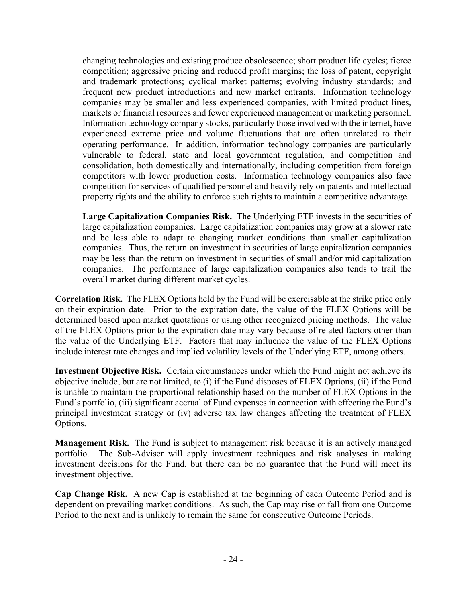changing technologies and existing produce obsolescence; short product life cycles; fierce competition; aggressive pricing and reduced profit margins; the loss of patent, copyright and trademark protections; cyclical market patterns; evolving industry standards; and frequent new product introductions and new market entrants. Information technology companies may be smaller and less experienced companies, with limited product lines, markets or financial resources and fewer experienced management or marketing personnel. Information technology company stocks, particularly those involved with the internet, have experienced extreme price and volume fluctuations that are often unrelated to their operating performance. In addition, information technology companies are particularly vulnerable to federal, state and local government regulation, and competition and consolidation, both domestically and internationally, including competition from foreign competitors with lower production costs. Information technology companies also face competition for services of qualified personnel and heavily rely on patents and intellectual property rights and the ability to enforce such rights to maintain a competitive advantage.

**Large Capitalization Companies Risk.** The Underlying ETF invests in the securities of large capitalization companies. Large capitalization companies may grow at a slower rate and be less able to adapt to changing market conditions than smaller capitalization companies. Thus, the return on investment in securities of large capitalization companies may be less than the return on investment in securities of small and/or mid capitalization companies. The performance of large capitalization companies also tends to trail the overall market during different market cycles.

**Correlation Risk.** The FLEX Options held by the Fund will be exercisable at the strike price only on their expiration date. Prior to the expiration date, the value of the FLEX Options will be determined based upon market quotations or using other recognized pricing methods. The value of the FLEX Options prior to the expiration date may vary because of related factors other than the value of the Underlying ETF. Factors that may influence the value of the FLEX Options include interest rate changes and implied volatility levels of the Underlying ETF, among others.

**Investment Objective Risk.** Certain circumstances under which the Fund might not achieve its objective include, but are not limited, to (i) if the Fund disposes of FLEX Options, (ii) if the Fund is unable to maintain the proportional relationship based on the number of FLEX Options in the Fund's portfolio, (iii) significant accrual of Fund expenses in connection with effecting the Fund's principal investment strategy or (iv) adverse tax law changes affecting the treatment of FLEX Options.

**Management Risk.** The Fund is subject to management risk because it is an actively managed portfolio. The Sub-Adviser will apply investment techniques and risk analyses in making investment decisions for the Fund, but there can be no guarantee that the Fund will meet its investment objective.

**Cap Change Risk.** A new Cap is established at the beginning of each Outcome Period and is dependent on prevailing market conditions. As such, the Cap may rise or fall from one Outcome Period to the next and is unlikely to remain the same for consecutive Outcome Periods.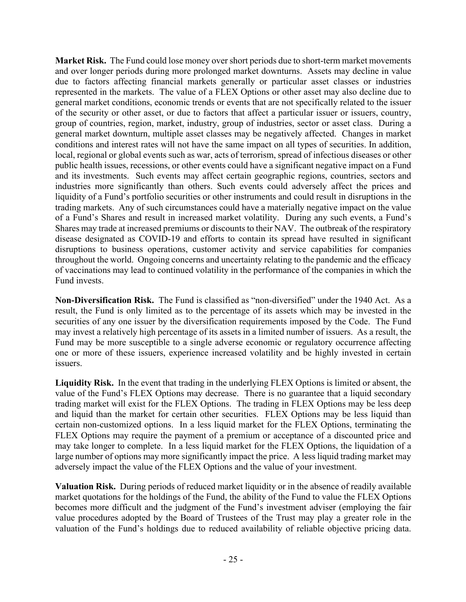**Market Risk.** The Fund could lose money over short periods due to short-term market movements and over longer periods during more prolonged market downturns. Assets may decline in value due to factors affecting financial markets generally or particular asset classes or industries represented in the markets. The value of a FLEX Options or other asset may also decline due to general market conditions, economic trends or events that are not specifically related to the issuer of the security or other asset, or due to factors that affect a particular issuer or issuers, country, group of countries, region, market, industry, group of industries, sector or asset class. During a general market downturn, multiple asset classes may be negatively affected. Changes in market conditions and interest rates will not have the same impact on all types of securities. In addition, local, regional or global events such as war, acts of terrorism, spread of infectious diseases or other public health issues, recessions, or other events could have a significant negative impact on a Fund and its investments. Such events may affect certain geographic regions, countries, sectors and industries more significantly than others. Such events could adversely affect the prices and liquidity of a Fund's portfolio securities or other instruments and could result in disruptions in the trading markets. Any of such circumstances could have a materially negative impact on the value of a Fund's Shares and result in increased market volatility. During any such events, a Fund's Shares may trade at increased premiums or discounts to their NAV. The outbreak of the respiratory disease designated as COVID-19 and efforts to contain its spread have resulted in significant disruptions to business operations, customer activity and service capabilities for companies throughout the world. Ongoing concerns and uncertainty relating to the pandemic and the efficacy of vaccinations may lead to continued volatility in the performance of the companies in which the Fund invests.

**Non-Diversification Risk.** The Fund is classified as "non-diversified" under the 1940 Act. As a result, the Fund is only limited as to the percentage of its assets which may be invested in the securities of any one issuer by the diversification requirements imposed by the Code. The Fund may invest a relatively high percentage of its assets in a limited number of issuers. As a result, the Fund may be more susceptible to a single adverse economic or regulatory occurrence affecting one or more of these issuers, experience increased volatility and be highly invested in certain issuers.

**Liquidity Risk.** In the event that trading in the underlying FLEX Options is limited or absent, the value of the Fund's FLEX Options may decrease. There is no guarantee that a liquid secondary trading market will exist for the FLEX Options. The trading in FLEX Options may be less deep and liquid than the market for certain other securities. FLEX Options may be less liquid than certain non-customized options. In a less liquid market for the FLEX Options, terminating the FLEX Options may require the payment of a premium or acceptance of a discounted price and may take longer to complete. In a less liquid market for the FLEX Options, the liquidation of a large number of options may more significantly impact the price. A less liquid trading market may adversely impact the value of the FLEX Options and the value of your investment.

**Valuation Risk.** During periods of reduced market liquidity or in the absence of readily available market quotations for the holdings of the Fund, the ability of the Fund to value the FLEX Options becomes more difficult and the judgment of the Fund's investment adviser (employing the fair value procedures adopted by the Board of Trustees of the Trust may play a greater role in the valuation of the Fund's holdings due to reduced availability of reliable objective pricing data.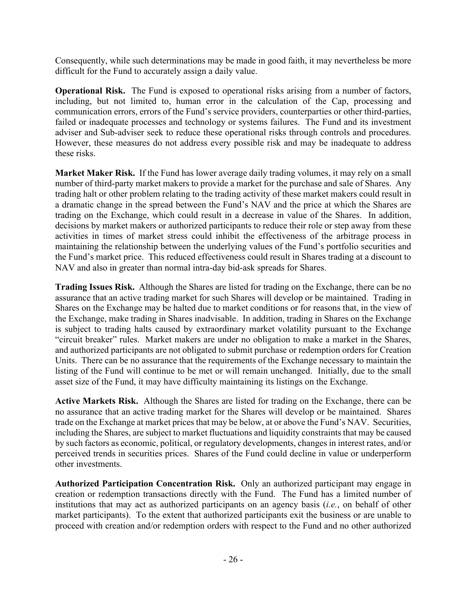Consequently, while such determinations may be made in good faith, it may nevertheless be more difficult for the Fund to accurately assign a daily value.

**Operational Risk.** The Fund is exposed to operational risks arising from a number of factors, including, but not limited to, human error in the calculation of the Cap, processing and communication errors, errors of the Fund's service providers, counterparties or other third-parties, failed or inadequate processes and technology or systems failures. The Fund and its investment adviser and Sub-adviser seek to reduce these operational risks through controls and procedures. However, these measures do not address every possible risk and may be inadequate to address these risks.

**Market Maker Risk.** If the Fund has lower average daily trading volumes, it may rely on a small number of third-party market makers to provide a market for the purchase and sale of Shares. Any trading halt or other problem relating to the trading activity of these market makers could result in a dramatic change in the spread between the Fund's NAV and the price at which the Shares are trading on the Exchange, which could result in a decrease in value of the Shares. In addition, decisions by market makers or authorized participants to reduce their role or step away from these activities in times of market stress could inhibit the effectiveness of the arbitrage process in maintaining the relationship between the underlying values of the Fund's portfolio securities and the Fund's market price. This reduced effectiveness could result in Shares trading at a discount to NAV and also in greater than normal intra-day bid-ask spreads for Shares.

**Trading Issues Risk.** Although the Shares are listed for trading on the Exchange, there can be no assurance that an active trading market for such Shares will develop or be maintained. Trading in Shares on the Exchange may be halted due to market conditions or for reasons that, in the view of the Exchange, make trading in Shares inadvisable. In addition, trading in Shares on the Exchange is subject to trading halts caused by extraordinary market volatility pursuant to the Exchange "circuit breaker" rules. Market makers are under no obligation to make a market in the Shares, and authorized participants are not obligated to submit purchase or redemption orders for Creation Units. There can be no assurance that the requirements of the Exchange necessary to maintain the listing of the Fund will continue to be met or will remain unchanged. Initially, due to the small asset size of the Fund, it may have difficulty maintaining its listings on the Exchange.

**Active Markets Risk.** Although the Shares are listed for trading on the Exchange, there can be no assurance that an active trading market for the Shares will develop or be maintained. Shares trade on the Exchange at market prices that may be below, at or above the Fund's NAV. Securities, including the Shares, are subject to market fluctuations and liquidity constraints that may be caused by such factors as economic, political, or regulatory developments, changes in interest rates, and/or perceived trends in securities prices. Shares of the Fund could decline in value or underperform other investments.

**Authorized Participation Concentration Risk.** Only an authorized participant may engage in creation or redemption transactions directly with the Fund. The Fund has a limited number of institutions that may act as authorized participants on an agency basis (*i.e.*, on behalf of other market participants). To the extent that authorized participants exit the business or are unable to proceed with creation and/or redemption orders with respect to the Fund and no other authorized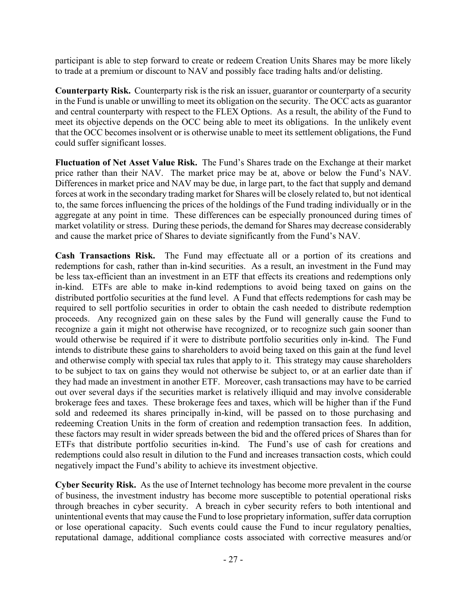participant is able to step forward to create or redeem Creation Units Shares may be more likely to trade at a premium or discount to NAV and possibly face trading halts and/or delisting.

**Counterparty Risk.** Counterparty risk is the risk an issuer, guarantor or counterparty of a security in the Fund is unable or unwilling to meet its obligation on the security. The OCC acts as guarantor and central counterparty with respect to the FLEX Options. As a result, the ability of the Fund to meet its objective depends on the OCC being able to meet its obligations. In the unlikely event that the OCC becomes insolvent or is otherwise unable to meet its settlement obligations, the Fund could suffer significant losses.

**Fluctuation of Net Asset Value Risk.** The Fund's Shares trade on the Exchange at their market price rather than their NAV. The market price may be at, above or below the Fund's NAV. Differences in market price and NAV may be due, in large part, to the fact that supply and demand forces at work in the secondary trading market for Shares will be closely related to, but not identical to, the same forces influencing the prices of the holdings of the Fund trading individually or in the aggregate at any point in time. These differences can be especially pronounced during times of market volatility or stress. During these periods, the demand for Shares may decrease considerably and cause the market price of Shares to deviate significantly from the Fund's NAV.

**Cash Transactions Risk.** The Fund may effectuate all or a portion of its creations and redemptions for cash, rather than in-kind securities. As a result, an investment in the Fund may be less tax-efficient than an investment in an ETF that effects its creations and redemptions only in-kind. ETFs are able to make in-kind redemptions to avoid being taxed on gains on the distributed portfolio securities at the fund level. A Fund that effects redemptions for cash may be required to sell portfolio securities in order to obtain the cash needed to distribute redemption proceeds. Any recognized gain on these sales by the Fund will generally cause the Fund to recognize a gain it might not otherwise have recognized, or to recognize such gain sooner than would otherwise be required if it were to distribute portfolio securities only in-kind. The Fund intends to distribute these gains to shareholders to avoid being taxed on this gain at the fund level and otherwise comply with special tax rules that apply to it. This strategy may cause shareholders to be subject to tax on gains they would not otherwise be subject to, or at an earlier date than if they had made an investment in another ETF. Moreover, cash transactions may have to be carried out over several days if the securities market is relatively illiquid and may involve considerable brokerage fees and taxes. These brokerage fees and taxes, which will be higher than if the Fund sold and redeemed its shares principally in-kind, will be passed on to those purchasing and redeeming Creation Units in the form of creation and redemption transaction fees. In addition, these factors may result in wider spreads between the bid and the offered prices of Shares than for ETFs that distribute portfolio securities in-kind. The Fund's use of cash for creations and redemptions could also result in dilution to the Fund and increases transaction costs, which could negatively impact the Fund's ability to achieve its investment objective.

**Cyber Security Risk.** As the use of Internet technology has become more prevalent in the course of business, the investment industry has become more susceptible to potential operational risks through breaches in cyber security. A breach in cyber security refers to both intentional and unintentional events that may cause the Fund to lose proprietary information, suffer data corruption or lose operational capacity. Such events could cause the Fund to incur regulatory penalties, reputational damage, additional compliance costs associated with corrective measures and/or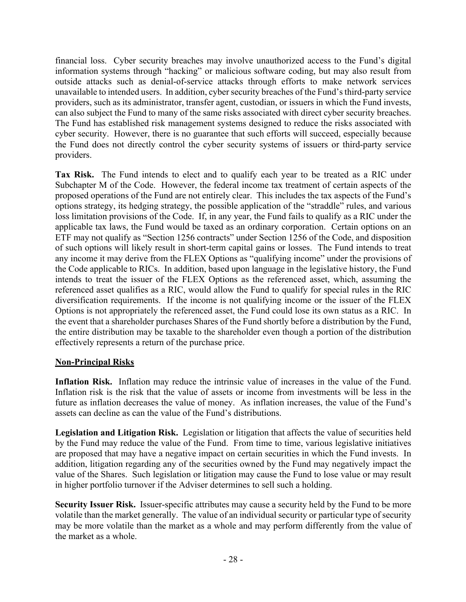financial loss. Cyber security breaches may involve unauthorized access to the Fund's digital information systems through "hacking" or malicious software coding, but may also result from outside attacks such as denial-of-service attacks through efforts to make network services unavailable to intended users. In addition, cyber security breaches of the Fund's third-party service providers, such as its administrator, transfer agent, custodian, or issuers in which the Fund invests, can also subject the Fund to many of the same risks associated with direct cyber security breaches. The Fund has established risk management systems designed to reduce the risks associated with cyber security. However, there is no guarantee that such efforts will succeed, especially because the Fund does not directly control the cyber security systems of issuers or third-party service providers.

**Tax Risk.** The Fund intends to elect and to qualify each year to be treated as a RIC under Subchapter M of the Code. However, the federal income tax treatment of certain aspects of the proposed operations of the Fund are not entirely clear. This includes the tax aspects of the Fund's options strategy, its hedging strategy, the possible application of the "straddle" rules, and various loss limitation provisions of the Code. If, in any year, the Fund fails to qualify as a RIC under the applicable tax laws, the Fund would be taxed as an ordinary corporation. Certain options on an ETF may not qualify as "Section 1256 contracts" under Section 1256 of the Code, and disposition of such options will likely result in short-term capital gains or losses. The Fund intends to treat any income it may derive from the FLEX Options as "qualifying income" under the provisions of the Code applicable to RICs. In addition, based upon language in the legislative history, the Fund intends to treat the issuer of the FLEX Options as the referenced asset, which, assuming the referenced asset qualifies as a RIC, would allow the Fund to qualify for special rules in the RIC diversification requirements. If the income is not qualifying income or the issuer of the FLEX Options is not appropriately the referenced asset, the Fund could lose its own status as a RIC. In the event that a shareholder purchases Shares of the Fund shortly before a distribution by the Fund, the entire distribution may be taxable to the shareholder even though a portion of the distribution effectively represents a return of the purchase price.

#### **Non-Principal Risks**

**Inflation Risk.** Inflation may reduce the intrinsic value of increases in the value of the Fund. Inflation risk is the risk that the value of assets or income from investments will be less in the future as inflation decreases the value of money. As inflation increases, the value of the Fund's assets can decline as can the value of the Fund's distributions.

**Legislation and Litigation Risk.** Legislation or litigation that affects the value of securities held by the Fund may reduce the value of the Fund. From time to time, various legislative initiatives are proposed that may have a negative impact on certain securities in which the Fund invests. In addition, litigation regarding any of the securities owned by the Fund may negatively impact the value of the Shares. Such legislation or litigation may cause the Fund to lose value or may result in higher portfolio turnover if the Adviser determines to sell such a holding.

**Security Issuer Risk.** Issuer-specific attributes may cause a security held by the Fund to be more volatile than the market generally. The value of an individual security or particular type of security may be more volatile than the market as a whole and may perform differently from the value of the market as a whole.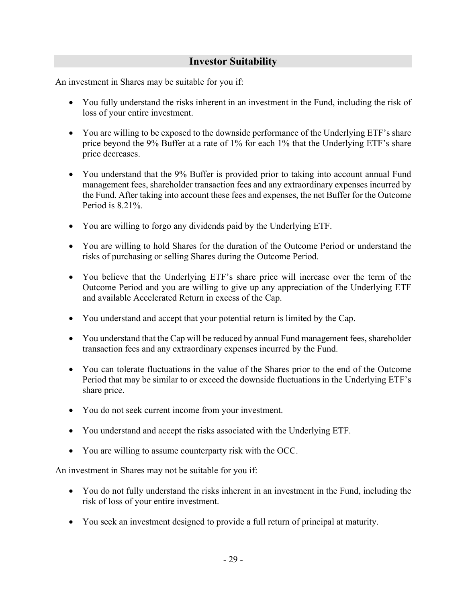# **Investor Suitability**

An investment in Shares may be suitable for you if:

- You fully understand the risks inherent in an investment in the Fund, including the risk of loss of your entire investment.
- You are willing to be exposed to the downside performance of the Underlying ETF's share price beyond the 9% Buffer at a rate of 1% for each 1% that the Underlying ETF's share price decreases.
- You understand that the 9% Buffer is provided prior to taking into account annual Fund management fees, shareholder transaction fees and any extraordinary expenses incurred by the Fund. After taking into account these fees and expenses, the net Buffer for the Outcome Period is 8.21%.
- You are willing to forgo any dividends paid by the Underlying ETF.
- You are willing to hold Shares for the duration of the Outcome Period or understand the risks of purchasing or selling Shares during the Outcome Period.
- You believe that the Underlying ETF's share price will increase over the term of the Outcome Period and you are willing to give up any appreciation of the Underlying ETF and available Accelerated Return in excess of the Cap.
- You understand and accept that your potential return is limited by the Cap.
- You understand that the Cap will be reduced by annual Fund management fees, shareholder transaction fees and any extraordinary expenses incurred by the Fund.
- You can tolerate fluctuations in the value of the Shares prior to the end of the Outcome Period that may be similar to or exceed the downside fluctuations in the Underlying ETF's share price.
- You do not seek current income from your investment.
- You understand and accept the risks associated with the Underlying ETF.
- You are willing to assume counterparty risk with the OCC.

An investment in Shares may not be suitable for you if:

- You do not fully understand the risks inherent in an investment in the Fund, including the risk of loss of your entire investment.
- You seek an investment designed to provide a full return of principal at maturity.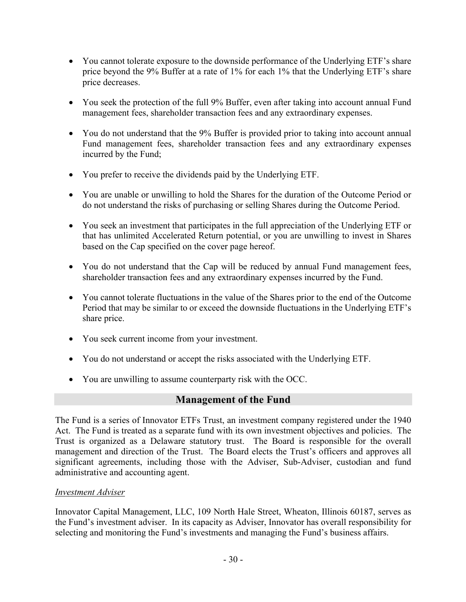- You cannot tolerate exposure to the downside performance of the Underlying ETF's share price beyond the 9% Buffer at a rate of 1% for each 1% that the Underlying ETF's share price decreases.
- You seek the protection of the full 9% Buffer, even after taking into account annual Fund management fees, shareholder transaction fees and any extraordinary expenses.
- You do not understand that the 9% Buffer is provided prior to taking into account annual Fund management fees, shareholder transaction fees and any extraordinary expenses incurred by the Fund;
- You prefer to receive the dividends paid by the Underlying ETF.
- You are unable or unwilling to hold the Shares for the duration of the Outcome Period or do not understand the risks of purchasing or selling Shares during the Outcome Period.
- You seek an investment that participates in the full appreciation of the Underlying ETF or that has unlimited Accelerated Return potential, or you are unwilling to invest in Shares based on the Cap specified on the cover page hereof.
- You do not understand that the Cap will be reduced by annual Fund management fees, shareholder transaction fees and any extraordinary expenses incurred by the Fund.
- You cannot tolerate fluctuations in the value of the Shares prior to the end of the Outcome Period that may be similar to or exceed the downside fluctuations in the Underlying ETF's share price.
- You seek current income from your investment.
- You do not understand or accept the risks associated with the Underlying ETF.
- You are unwilling to assume counterparty risk with the OCC.

# **Management of the Fund**

The Fund is a series of Innovator ETFs Trust, an investment company registered under the 1940 Act. The Fund is treated as a separate fund with its own investment objectives and policies. The Trust is organized as a Delaware statutory trust. The Board is responsible for the overall management and direction of the Trust. The Board elects the Trust's officers and approves all significant agreements, including those with the Adviser, Sub-Adviser, custodian and fund administrative and accounting agent.

#### *Investment Adviser*

Innovator Capital Management, LLC, 109 North Hale Street, Wheaton, Illinois 60187, serves as the Fund's investment adviser. In its capacity as Adviser, Innovator has overall responsibility for selecting and monitoring the Fund's investments and managing the Fund's business affairs.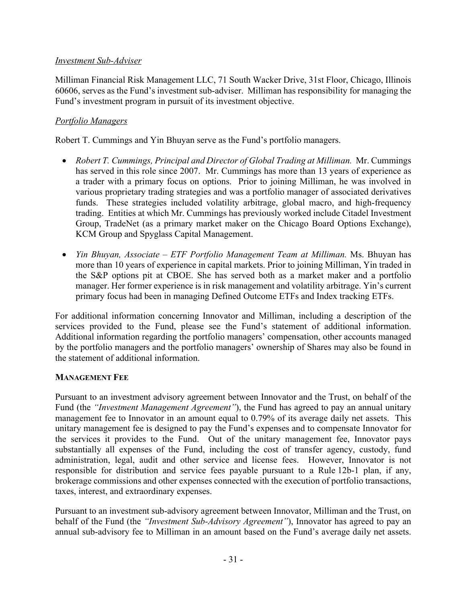#### *Investment Sub-Adviser*

Milliman Financial Risk Management LLC, 71 South Wacker Drive, 31st Floor, Chicago, Illinois 60606, serves as the Fund's investment sub-adviser. Milliman has responsibility for managing the Fund's investment program in pursuit of its investment objective.

#### *Portfolio Managers*

Robert T. Cummings and Yin Bhuyan serve as the Fund's portfolio managers.

- *Robert T. Cummings, Principal and Director of Global Trading at Milliman.* Mr. Cummings has served in this role since 2007. Mr. Cummings has more than 13 years of experience as a trader with a primary focus on options. Prior to joining Milliman, he was involved in various proprietary trading strategies and was a portfolio manager of associated derivatives funds. These strategies included volatility arbitrage, global macro, and high-frequency trading. Entities at which Mr. Cummings has previously worked include Citadel Investment Group, TradeNet (as a primary market maker on the Chicago Board Options Exchange), KCM Group and Spyglass Capital Management.
- *Yin Bhuyan, Associate – ETF Portfolio Management Team at Milliman.* Ms. Bhuyan has more than 10 years of experience in capital markets. Prior to joining Milliman, Yin traded in the S&P options pit at CBOE. She has served both as a market maker and a portfolio manager. Her former experience is in risk management and volatility arbitrage. Yin's current primary focus had been in managing Defined Outcome ETFs and Index tracking ETFs.

For additional information concerning Innovator and Milliman, including a description of the services provided to the Fund, please see the Fund's statement of additional information. Additional information regarding the portfolio managers' compensation, other accounts managed by the portfolio managers and the portfolio managers' ownership of Shares may also be found in the statement of additional information.

#### **MANAGEMENT FEE**

Pursuant to an investment advisory agreement between Innovator and the Trust, on behalf of the Fund (the *"Investment Management Agreement"*), the Fund has agreed to pay an annual unitary management fee to Innovator in an amount equal to 0.79% of its average daily net assets. This unitary management fee is designed to pay the Fund's expenses and to compensate Innovator for the services it provides to the Fund. Out of the unitary management fee, Innovator pays substantially all expenses of the Fund, including the cost of transfer agency, custody, fund administration, legal, audit and other service and license fees. However, Innovator is not responsible for distribution and service fees payable pursuant to a Rule 12b-1 plan, if any, brokerage commissions and other expenses connected with the execution of portfolio transactions, taxes, interest, and extraordinary expenses.

Pursuant to an investment sub-advisory agreement between Innovator, Milliman and the Trust, on behalf of the Fund (the *"Investment Sub-Advisory Agreement"*), Innovator has agreed to pay an annual sub-advisory fee to Milliman in an amount based on the Fund's average daily net assets.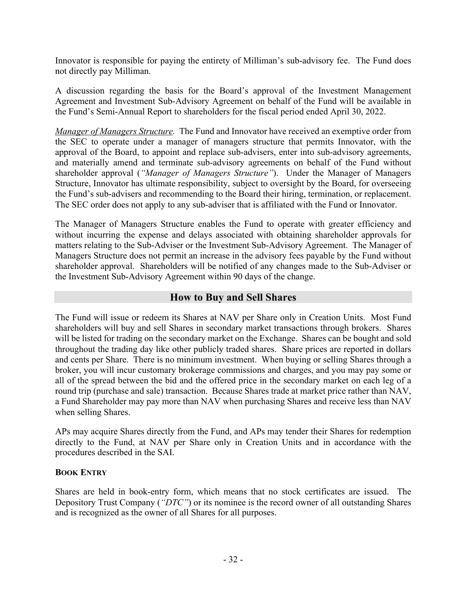Innovator is responsible for paying the entirety of Milliman's sub-advisory fee. The Fund does not directly pay Milliman.

A discussion regarding the basis for the Board's approval of the Investment Management Agreement and Investment Sub-Advisory Agreement on behalf of the Fund will be available in the Fund's Semi-Annual Report to shareholders for the fiscal period ended April 30, 2022.

*Manager of Managers Structure.* The Fund and Innovator have received an exemptive order from the SEC to operate under a manager of managers structure that permits Innovator, with the approval of the Board, to appoint and replace sub-advisers, enter into sub-advisory agreements, and materially amend and terminate sub-advisory agreements on behalf of the Fund without shareholder approval (*"Manager of Managers Structure"*). Under the Manager of Managers Structure, Innovator has ultimate responsibility, subject to oversight by the Board, for overseeing the Fund's sub-advisers and recommending to the Board their hiring, termination, or replacement. The SEC order does not apply to any sub-adviser that is affiliated with the Fund or Innovator.

The Manager of Managers Structure enables the Fund to operate with greater efficiency and without incurring the expense and delays associated with obtaining shareholder approvals for matters relating to the Sub-Adviser or the Investment Sub-Advisory Agreement. The Manager of Managers Structure does not permit an increase in the advisory fees payable by the Fund without shareholder approval. Shareholders will be notified of any changes made to the Sub-Adviser or the Investment Sub-Advisory Agreement within 90 days of the change.

# **How to Buy and Sell Shares**

The Fund will issue or redeem its Shares at NAV per Share only in Creation Units. Most Fund shareholders will buy and sell Shares in secondary market transactions through brokers. Shares will be listed for trading on the secondary market on the Exchange. Shares can be bought and sold throughout the trading day like other publicly traded shares. Share prices are reported in dollars and cents per Share. There is no minimum investment. When buying or selling Shares through a broker, you will incur customary brokerage commissions and charges, and you may pay some or all of the spread between the bid and the offered price in the secondary market on each leg of a round trip (purchase and sale) transaction. Because Shares trade at market price rather than NAV, a Fund Shareholder may pay more than NAV when purchasing Shares and receive less than NAV when selling Shares.

APs may acquire Shares directly from the Fund, and APs may tender their Shares for redemption directly to the Fund, at NAV per Share only in Creation Units and in accordance with the procedures described in the SAI.

#### **BOOK ENTRY**

Shares are held in book-entry form, which means that no stock certificates are issued. The Depository Trust Company (*"DTC"*) or its nominee is the record owner of all outstanding Shares and is recognized as the owner of all Shares for all purposes.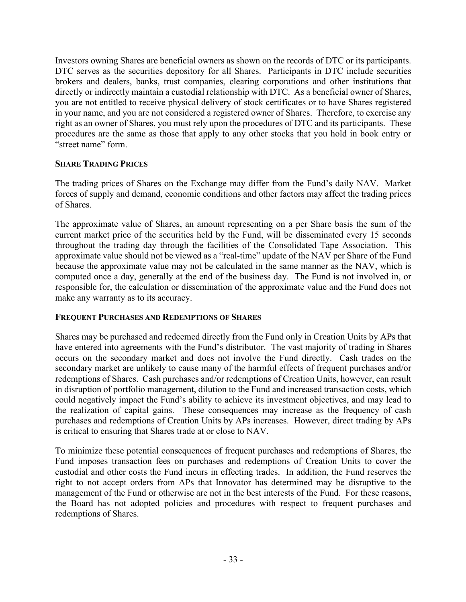Investors owning Shares are beneficial owners as shown on the records of DTC or its participants. DTC serves as the securities depository for all Shares. Participants in DTC include securities brokers and dealers, banks, trust companies, clearing corporations and other institutions that directly or indirectly maintain a custodial relationship with DTC. As a beneficial owner of Shares, you are not entitled to receive physical delivery of stock certificates or to have Shares registered in your name, and you are not considered a registered owner of Shares. Therefore, to exercise any right as an owner of Shares, you must rely upon the procedures of DTC and its participants. These procedures are the same as those that apply to any other stocks that you hold in book entry or "street name" form.

#### **SHARE TRADING PRICES**

The trading prices of Shares on the Exchange may differ from the Fund's daily NAV. Market forces of supply and demand, economic conditions and other factors may affect the trading prices of Shares.

The approximate value of Shares, an amount representing on a per Share basis the sum of the current market price of the securities held by the Fund, will be disseminated every 15 seconds throughout the trading day through the facilities of the Consolidated Tape Association. This approximate value should not be viewed as a "real-time" update of the NAV per Share of the Fund because the approximate value may not be calculated in the same manner as the NAV, which is computed once a day, generally at the end of the business day. The Fund is not involved in, or responsible for, the calculation or dissemination of the approximate value and the Fund does not make any warranty as to its accuracy.

#### **FREQUENT PURCHASES AND REDEMPTIONS OF SHARES**

Shares may be purchased and redeemed directly from the Fund only in Creation Units by APs that have entered into agreements with the Fund's distributor. The vast majority of trading in Shares occurs on the secondary market and does not involve the Fund directly. Cash trades on the secondary market are unlikely to cause many of the harmful effects of frequent purchases and/or redemptions of Shares. Cash purchases and/or redemptions of Creation Units, however, can result in disruption of portfolio management, dilution to the Fund and increased transaction costs, which could negatively impact the Fund's ability to achieve its investment objectives, and may lead to the realization of capital gains. These consequences may increase as the frequency of cash purchases and redemptions of Creation Units by APs increases. However, direct trading by APs is critical to ensuring that Shares trade at or close to NAV.

To minimize these potential consequences of frequent purchases and redemptions of Shares, the Fund imposes transaction fees on purchases and redemptions of Creation Units to cover the custodial and other costs the Fund incurs in effecting trades. In addition, the Fund reserves the right to not accept orders from APs that Innovator has determined may be disruptive to the management of the Fund or otherwise are not in the best interests of the Fund. For these reasons, the Board has not adopted policies and procedures with respect to frequent purchases and redemptions of Shares.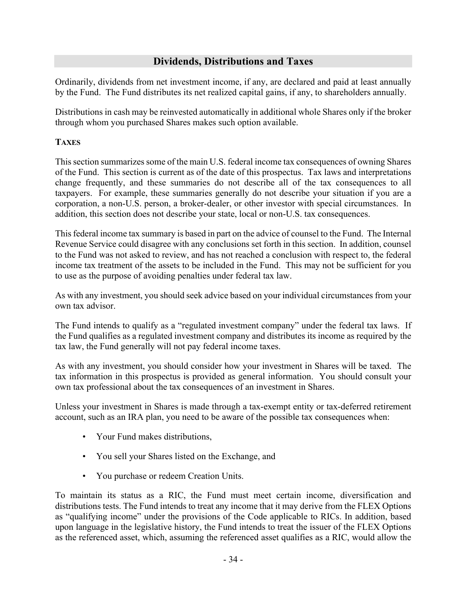# **Dividends, Distributions and Taxes**

Ordinarily, dividends from net investment income, if any, are declared and paid at least annually by the Fund. The Fund distributes its net realized capital gains, if any, to shareholders annually.

Distributions in cash may be reinvested automatically in additional whole Shares only if the broker through whom you purchased Shares makes such option available.

#### **TAXES**

This section summarizes some of the main U.S. federal income tax consequences of owning Shares of the Fund. This section is current as of the date of this prospectus. Tax laws and interpretations change frequently, and these summaries do not describe all of the tax consequences to all taxpayers. For example, these summaries generally do not describe your situation if you are a corporation, a non-U.S. person, a broker-dealer, or other investor with special circumstances. In addition, this section does not describe your state, local or non-U.S. tax consequences.

This federal income tax summary is based in part on the advice of counsel to the Fund. The Internal Revenue Service could disagree with any conclusions set forth in this section. In addition, counsel to the Fund was not asked to review, and has not reached a conclusion with respect to, the federal income tax treatment of the assets to be included in the Fund. This may not be sufficient for you to use as the purpose of avoiding penalties under federal tax law.

As with any investment, you should seek advice based on your individual circumstances from your own tax advisor.

The Fund intends to qualify as a "regulated investment company" under the federal tax laws. If the Fund qualifies as a regulated investment company and distributes its income as required by the tax law, the Fund generally will not pay federal income taxes.

As with any investment, you should consider how your investment in Shares will be taxed. The tax information in this prospectus is provided as general information. You should consult your own tax professional about the tax consequences of an investment in Shares.

Unless your investment in Shares is made through a tax-exempt entity or tax-deferred retirement account, such as an IRA plan, you need to be aware of the possible tax consequences when:

- Your Fund makes distributions,
- You sell your Shares listed on the Exchange, and
- You purchase or redeem Creation Units.

To maintain its status as a RIC, the Fund must meet certain income, diversification and distributions tests. The Fund intends to treat any income that it may derive from the FLEX Options as "qualifying income" under the provisions of the Code applicable to RICs. In addition, based upon language in the legislative history, the Fund intends to treat the issuer of the FLEX Options as the referenced asset, which, assuming the referenced asset qualifies as a RIC, would allow the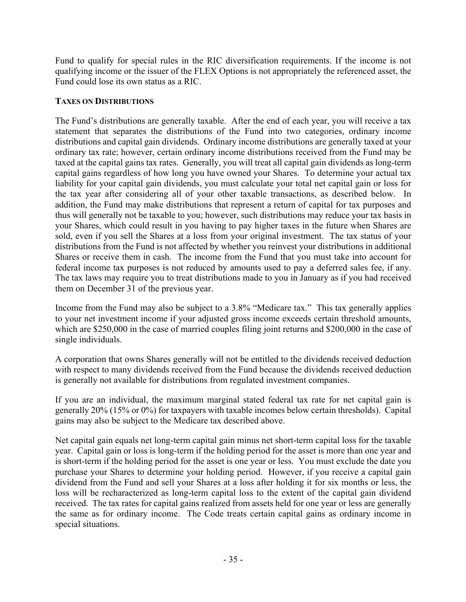Fund to qualify for special rules in the RIC diversification requirements. If the income is not qualifying income or the issuer of the FLEX Options is not appropriately the referenced asset, the Fund could lose its own status as a RIC.

#### **TAXES ON DISTRIBUTIONS**

The Fund's distributions are generally taxable. After the end of each year, you will receive a tax statement that separates the distributions of the Fund into two categories, ordinary income distributions and capital gain dividends. Ordinary income distributions are generally taxed at your ordinary tax rate; however, certain ordinary income distributions received from the Fund may be taxed at the capital gains tax rates. Generally, you will treat all capital gain dividends as long-term capital gains regardless of how long you have owned your Shares. To determine your actual tax liability for your capital gain dividends, you must calculate your total net capital gain or loss for the tax year after considering all of your other taxable transactions, as described below. In addition, the Fund may make distributions that represent a return of capital for tax purposes and thus will generally not be taxable to you; however, such distributions may reduce your tax basis in your Shares, which could result in you having to pay higher taxes in the future when Shares are sold, even if you sell the Shares at a loss from your original investment. The tax status of your distributions from the Fund is not affected by whether you reinvest your distributions in additional Shares or receive them in cash. The income from the Fund that you must take into account for federal income tax purposes is not reduced by amounts used to pay a deferred sales fee, if any. The tax laws may require you to treat distributions made to you in January as if you had received them on December 31 of the previous year.

Income from the Fund may also be subject to a 3.8% "Medicare tax." This tax generally applies to your net investment income if your adjusted gross income exceeds certain threshold amounts, which are \$250,000 in the case of married couples filing joint returns and \$200,000 in the case of single individuals.

A corporation that owns Shares generally will not be entitled to the dividends received deduction with respect to many dividends received from the Fund because the dividends received deduction is generally not available for distributions from regulated investment companies.

If you are an individual, the maximum marginal stated federal tax rate for net capital gain is generally 20% (15% or 0%) for taxpayers with taxable incomes below certain thresholds). Capital gains may also be subject to the Medicare tax described above.

Net capital gain equals net long-term capital gain minus net short-term capital loss for the taxable year. Capital gain or loss is long-term if the holding period for the asset is more than one year and is short-term if the holding period for the asset is one year or less. You must exclude the date you purchase your Shares to determine your holding period. However, if you receive a capital gain dividend from the Fund and sell your Shares at a loss after holding it for six months or less, the loss will be recharacterized as long-term capital loss to the extent of the capital gain dividend received. The tax rates for capital gains realized from assets held for one year or less are generally the same as for ordinary income. The Code treats certain capital gains as ordinary income in special situations.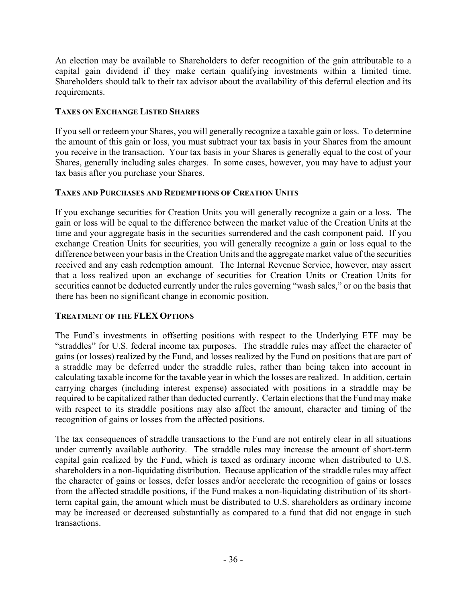An election may be available to Shareholders to defer recognition of the gain attributable to a capital gain dividend if they make certain qualifying investments within a limited time. Shareholders should talk to their tax advisor about the availability of this deferral election and its requirements.

#### **TAXES ON EXCHANGE LISTED SHARES**

If you sell or redeem your Shares, you will generally recognize a taxable gain or loss. To determine the amount of this gain or loss, you must subtract your tax basis in your Shares from the amount you receive in the transaction. Your tax basis in your Shares is generally equal to the cost of your Shares, generally including sales charges. In some cases, however, you may have to adjust your tax basis after you purchase your Shares.

#### **TAXES AND PURCHASES AND REDEMPTIONS OF CREATION UNITS**

If you exchange securities for Creation Units you will generally recognize a gain or a loss. The gain or loss will be equal to the difference between the market value of the Creation Units at the time and your aggregate basis in the securities surrendered and the cash component paid. If you exchange Creation Units for securities, you will generally recognize a gain or loss equal to the difference between your basis in the Creation Units and the aggregate market value of the securities received and any cash redemption amount. The Internal Revenue Service, however, may assert that a loss realized upon an exchange of securities for Creation Units or Creation Units for securities cannot be deducted currently under the rules governing "wash sales," or on the basis that there has been no significant change in economic position.

# **TREATMENT OF THE FLEX OPTIONS**

The Fund's investments in offsetting positions with respect to the Underlying ETF may be "straddles" for U.S. federal income tax purposes. The straddle rules may affect the character of gains (or losses) realized by the Fund, and losses realized by the Fund on positions that are part of a straddle may be deferred under the straddle rules, rather than being taken into account in calculating taxable income for the taxable year in which the losses are realized. In addition, certain carrying charges (including interest expense) associated with positions in a straddle may be required to be capitalized rather than deducted currently. Certain elections that the Fund may make with respect to its straddle positions may also affect the amount, character and timing of the recognition of gains or losses from the affected positions.

The tax consequences of straddle transactions to the Fund are not entirely clear in all situations under currently available authority. The straddle rules may increase the amount of short-term capital gain realized by the Fund, which is taxed as ordinary income when distributed to U.S. shareholders in a non-liquidating distribution. Because application of the straddle rules may affect the character of gains or losses, defer losses and/or accelerate the recognition of gains or losses from the affected straddle positions, if the Fund makes a non-liquidating distribution of its shortterm capital gain, the amount which must be distributed to U.S. shareholders as ordinary income may be increased or decreased substantially as compared to a fund that did not engage in such transactions.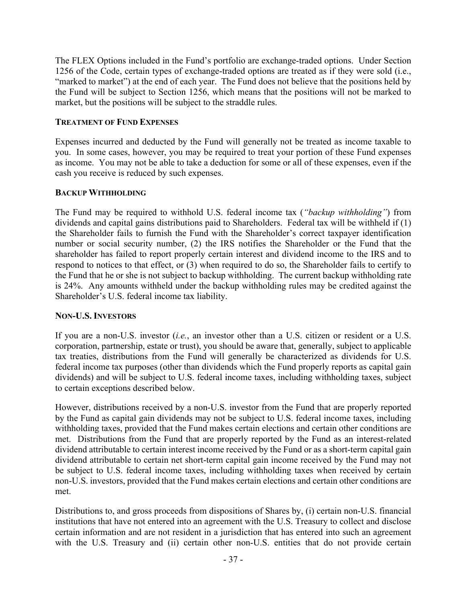The FLEX Options included in the Fund's portfolio are exchange-traded options. Under Section 1256 of the Code, certain types of exchange-traded options are treated as if they were sold (i.e., "marked to market") at the end of each year. The Fund does not believe that the positions held by the Fund will be subject to Section 1256, which means that the positions will not be marked to market, but the positions will be subject to the straddle rules.

#### **TREATMENT OF FUND EXPENSES**

Expenses incurred and deducted by the Fund will generally not be treated as income taxable to you. In some cases, however, you may be required to treat your portion of these Fund expenses as income. You may not be able to take a deduction for some or all of these expenses, even if the cash you receive is reduced by such expenses.

#### **BACKUP WITHHOLDING**

The Fund may be required to withhold U.S. federal income tax (*"backup withholding"*) from dividends and capital gains distributions paid to Shareholders. Federal tax will be withheld if (1) the Shareholder fails to furnish the Fund with the Shareholder's correct taxpayer identification number or social security number, (2) the IRS notifies the Shareholder or the Fund that the shareholder has failed to report properly certain interest and dividend income to the IRS and to respond to notices to that effect, or (3) when required to do so, the Shareholder fails to certify to the Fund that he or she is not subject to backup withholding. The current backup withholding rate is 24%. Any amounts withheld under the backup withholding rules may be credited against the Shareholder's U.S. federal income tax liability.

#### **NON-U.S. INVESTORS**

If you are a non-U.S. investor (*i.e.*, an investor other than a U.S. citizen or resident or a U.S. corporation, partnership, estate or trust), you should be aware that, generally, subject to applicable tax treaties, distributions from the Fund will generally be characterized as dividends for U.S. federal income tax purposes (other than dividends which the Fund properly reports as capital gain dividends) and will be subject to U.S. federal income taxes, including withholding taxes, subject to certain exceptions described below.

However, distributions received by a non-U.S. investor from the Fund that are properly reported by the Fund as capital gain dividends may not be subject to U.S. federal income taxes, including withholding taxes, provided that the Fund makes certain elections and certain other conditions are met. Distributions from the Fund that are properly reported by the Fund as an interest-related dividend attributable to certain interest income received by the Fund or as a short-term capital gain dividend attributable to certain net short-term capital gain income received by the Fund may not be subject to U.S. federal income taxes, including withholding taxes when received by certain non-U.S. investors, provided that the Fund makes certain elections and certain other conditions are met.

Distributions to, and gross proceeds from dispositions of Shares by, (i) certain non-U.S. financial institutions that have not entered into an agreement with the U.S. Treasury to collect and disclose certain information and are not resident in a jurisdiction that has entered into such an agreement with the U.S. Treasury and (ii) certain other non-U.S. entities that do not provide certain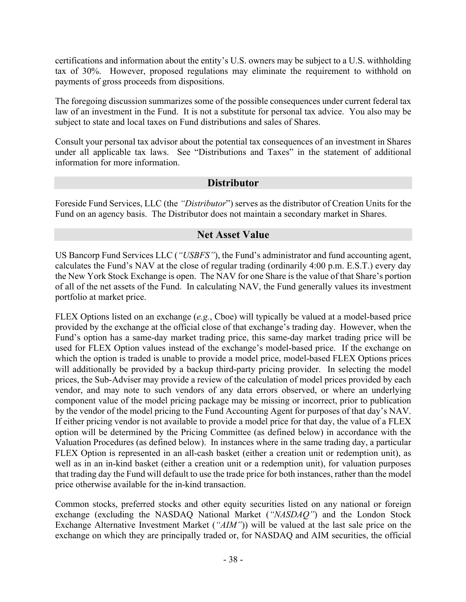certifications and information about the entity's U.S. owners may be subject to a U.S. withholding tax of 30%. However, proposed regulations may eliminate the requirement to withhold on payments of gross proceeds from dispositions.

The foregoing discussion summarizes some of the possible consequences under current federal tax law of an investment in the Fund. It is not a substitute for personal tax advice. You also may be subject to state and local taxes on Fund distributions and sales of Shares.

Consult your personal tax advisor about the potential tax consequences of an investment in Shares under all applicable tax laws. See "Distributions and Taxes" in the statement of additional information for more information.

# **Distributor**

Foreside Fund Services, LLC (the *"Distributor*") serves as the distributor of Creation Units for the Fund on an agency basis. The Distributor does not maintain a secondary market in Shares.

# **Net Asset Value**

US Bancorp Fund Services LLC (*"USBFS"*), the Fund's administrator and fund accounting agent, calculates the Fund's NAV at the close of regular trading (ordinarily 4:00 p.m. E.S.T.) every day the New York Stock Exchange is open. The NAV for one Share is the value of that Share's portion of all of the net assets of the Fund. In calculating NAV, the Fund generally values its investment portfolio at market price.

FLEX Options listed on an exchange (*e.g.*, Cboe) will typically be valued at a model-based price provided by the exchange at the official close of that exchange's trading day. However, when the Fund's option has a same-day market trading price, this same-day market trading price will be used for FLEX Option values instead of the exchange's model-based price. If the exchange on which the option is traded is unable to provide a model price, model-based FLEX Options prices will additionally be provided by a backup third-party pricing provider. In selecting the model prices, the Sub-Adviser may provide a review of the calculation of model prices provided by each vendor, and may note to such vendors of any data errors observed, or where an underlying component value of the model pricing package may be missing or incorrect, prior to publication by the vendor of the model pricing to the Fund Accounting Agent for purposes of that day's NAV. If either pricing vendor is not available to provide a model price for that day, the value of a FLEX option will be determined by the Pricing Committee (as defined below) in accordance with the Valuation Procedures (as defined below). In instances where in the same trading day, a particular FLEX Option is represented in an all-cash basket (either a creation unit or redemption unit), as well as in an in-kind basket (either a creation unit or a redemption unit), for valuation purposes that trading day the Fund will default to use the trade price for both instances, rather than the model price otherwise available for the in-kind transaction.

Common stocks, preferred stocks and other equity securities listed on any national or foreign exchange (excluding the NASDAQ National Market (*"NASDAQ"*) and the London Stock Exchange Alternative Investment Market (*"AIM"*)) will be valued at the last sale price on the exchange on which they are principally traded or, for NASDAQ and AIM securities, the official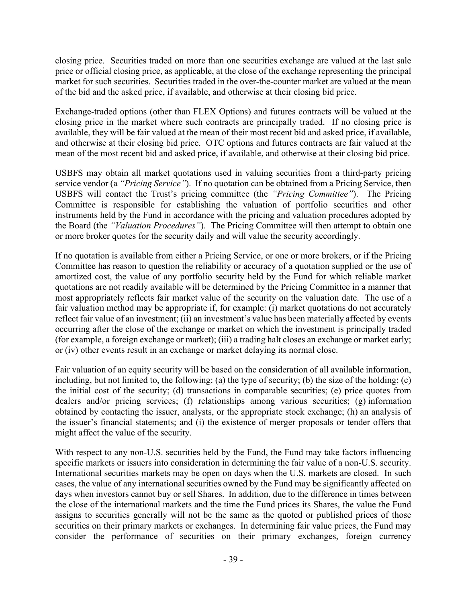closing price. Securities traded on more than one securities exchange are valued at the last sale price or official closing price, as applicable, at the close of the exchange representing the principal market for such securities. Securities traded in the over-the-counter market are valued at the mean of the bid and the asked price, if available, and otherwise at their closing bid price.

Exchange-traded options (other than FLEX Options) and futures contracts will be valued at the closing price in the market where such contracts are principally traded. If no closing price is available, they will be fair valued at the mean of their most recent bid and asked price, if available, and otherwise at their closing bid price. OTC options and futures contracts are fair valued at the mean of the most recent bid and asked price, if available, and otherwise at their closing bid price.

USBFS may obtain all market quotations used in valuing securities from a third-party pricing service vendor (a *"Pricing Service"*). If no quotation can be obtained from a Pricing Service, then USBFS will contact the Trust's pricing committee (the *"Pricing Committee"*). The Pricing Committee is responsible for establishing the valuation of portfolio securities and other instruments held by the Fund in accordance with the pricing and valuation procedures adopted by the Board (the *"Valuation Procedures"*). The Pricing Committee will then attempt to obtain one or more broker quotes for the security daily and will value the security accordingly.

If no quotation is available from either a Pricing Service, or one or more brokers, or if the Pricing Committee has reason to question the reliability or accuracy of a quotation supplied or the use of amortized cost, the value of any portfolio security held by the Fund for which reliable market quotations are not readily available will be determined by the Pricing Committee in a manner that most appropriately reflects fair market value of the security on the valuation date. The use of a fair valuation method may be appropriate if, for example: (i) market quotations do not accurately reflect fair value of an investment; (ii) an investment's value has been materially affected by events occurring after the close of the exchange or market on which the investment is principally traded (for example, a foreign exchange or market); (iii) a trading halt closes an exchange or market early; or (iv) other events result in an exchange or market delaying its normal close.

Fair valuation of an equity security will be based on the consideration of all available information, including, but not limited to, the following: (a) the type of security; (b) the size of the holding; (c) the initial cost of the security; (d) transactions in comparable securities; (e) price quotes from dealers and/or pricing services; (f) relationships among various securities; (g) information obtained by contacting the issuer, analysts, or the appropriate stock exchange; (h) an analysis of the issuer's financial statements; and (i) the existence of merger proposals or tender offers that might affect the value of the security.

With respect to any non-U.S. securities held by the Fund, the Fund may take factors influencing specific markets or issuers into consideration in determining the fair value of a non-U.S. security. International securities markets may be open on days when the U.S. markets are closed. In such cases, the value of any international securities owned by the Fund may be significantly affected on days when investors cannot buy or sell Shares. In addition, due to the difference in times between the close of the international markets and the time the Fund prices its Shares, the value the Fund assigns to securities generally will not be the same as the quoted or published prices of those securities on their primary markets or exchanges. In determining fair value prices, the Fund may consider the performance of securities on their primary exchanges, foreign currency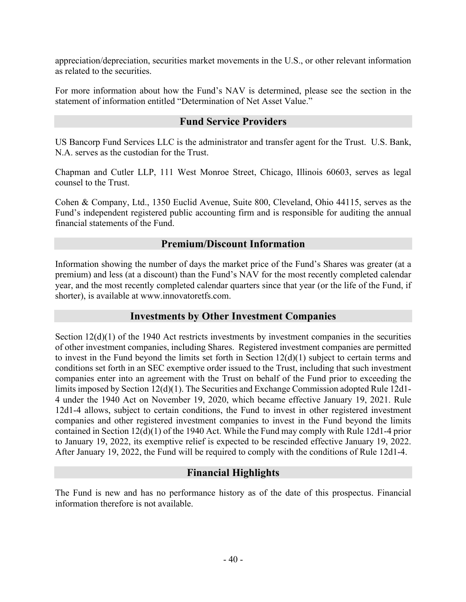appreciation/depreciation, securities market movements in the U.S., or other relevant information as related to the securities.

For more information about how the Fund's NAV is determined, please see the section in the statement of information entitled "Determination of Net Asset Value."

#### **Fund Service Providers**

US Bancorp Fund Services LLC is the administrator and transfer agent for the Trust. U.S. Bank, N.A. serves as the custodian for the Trust.

Chapman and Cutler LLP, 111 West Monroe Street, Chicago, Illinois 60603, serves as legal counsel to the Trust.

Cohen & Company, Ltd., 1350 Euclid Avenue, Suite 800, Cleveland, Ohio 44115, serves as the Fund's independent registered public accounting firm and is responsible for auditing the annual financial statements of the Fund.

#### **Premium/Discount Information**

Information showing the number of days the market price of the Fund's Shares was greater (at a premium) and less (at a discount) than the Fund's NAV for the most recently completed calendar year, and the most recently completed calendar quarters since that year (or the life of the Fund, if shorter), is available at www.innovatoretfs.com.

# **Investments by Other Investment Companies**

Section 12(d)(1) of the 1940 Act restricts investments by investment companies in the securities of other investment companies, including Shares. Registered investment companies are permitted to invest in the Fund beyond the limits set forth in Section 12(d)(1) subject to certain terms and conditions set forth in an SEC exemptive order issued to the Trust, including that such investment companies enter into an agreement with the Trust on behalf of the Fund prior to exceeding the limits imposed by Section 12(d)(1). The Securities and Exchange Commission adopted Rule 12d1- 4 under the 1940 Act on November 19, 2020, which became effective January 19, 2021. Rule 12d1-4 allows, subject to certain conditions, the Fund to invest in other registered investment companies and other registered investment companies to invest in the Fund beyond the limits contained in Section 12(d)(1) of the 1940 Act. While the Fund may comply with Rule 12d1-4 prior to January 19, 2022, its exemptive relief is expected to be rescinded effective January 19, 2022. After January 19, 2022, the Fund will be required to comply with the conditions of Rule 12d1-4.

# **Financial Highlights**

The Fund is new and has no performance history as of the date of this prospectus. Financial information therefore is not available.